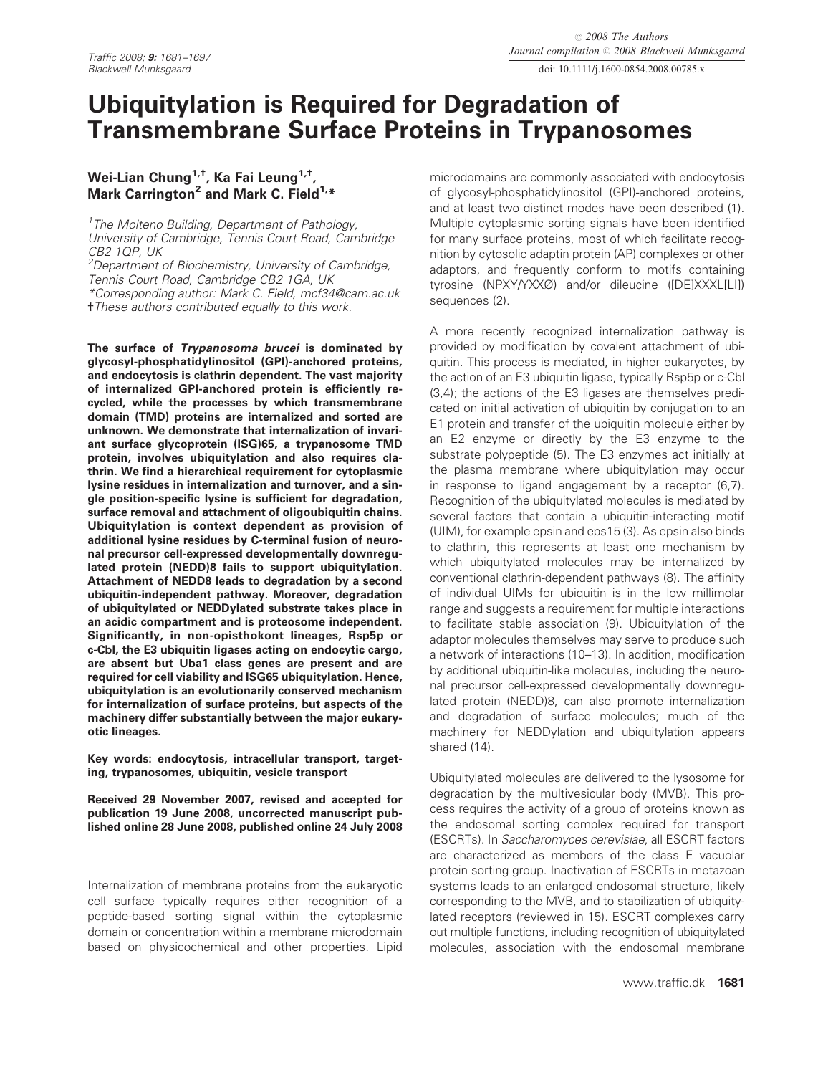doi: 10.1111/j.1600-0854.2008.00785.x

# Ubiquitylation is Required for Degradation of Transmembrane Surface Proteins in Trypanosomes

# Wei-Lian Chung<sup>1,†</sup>, Ka Fai Leung<sup>1,†</sup>, Mark Carrington<sup>2</sup> and Mark C. Field<sup>1,\*</sup>

<sup>1</sup> The Molteno Building, Department of Pathology, University of Cambridge, Tennis Court Road, Cambridge CB2 1QP, UK

<sup>2</sup>Department of Biochemistry, University of Cambridge, Tennis Court Road, Cambridge CB2 1GA, UK \*Corresponding author: Mark C. Field, mcf34@cam.ac.uk *†*These authors contributed equally to this work.

The surface of Trypanosoma brucei is dominated by glycosyl-phosphatidylinositol (GPI)-anchored proteins, and endocytosis is clathrin dependent. The vast majority of internalized GPI-anchored protein is efficiently recycled, while the processes by which transmembrane domain (TMD) proteins are internalized and sorted are unknown. We demonstrate that internalization of invariant surface glycoprotein (ISG)65, a trypanosome TMD protein, involves ubiquitylation and also requires clathrin. We find a hierarchical requirement for cytoplasmic lysine residues in internalization and turnover, and a single position-specific lysine is sufficient for degradation, surface removal and attachment of oligoubiquitin chains. Ubiquitylation is context dependent as provision of additional lysine residues by C-terminal fusion of neuronal precursor cell-expressed developmentally downregulated protein (NEDD)8 fails to support ubiquitylation. Attachment of NEDD8 leads to degradation by a second ubiquitin-independent pathway. Moreover, degradation of ubiquitylated or NEDDylated substrate takes place in an acidic compartment and is proteosome independent. Significantly, in non-opisthokont lineages, Rsp5p or c-Cbl, the E3 ubiquitin ligases acting on endocytic cargo, are absent but Uba1 class genes are present and are required for cell viability and ISG65 ubiquitylation. Hence, ubiquitylation is an evolutionarily conserved mechanism for internalization of surface proteins, but aspects of the machinery differ substantially between the major eukaryotic lineages.

Key words: endocytosis, intracellular transport, targeting, trypanosomes, ubiquitin, vesicle transport

Received 29 November 2007, revised and accepted for publication 19 June 2008, uncorrected manuscript published online 28 June 2008, published online 24 July 2008

Internalization of membrane proteins from the eukaryotic cell surface typically requires either recognition of a peptide-based sorting signal within the cytoplasmic domain or concentration within a membrane microdomain based on physicochemical and other properties. Lipid microdomains are commonly associated with endocytosis of glycosyl-phosphatidylinositol (GPI)-anchored proteins, and at least two distinct modes have been described (1). Multiple cytoplasmic sorting signals have been identified for many surface proteins, most of which facilitate recognition by cytosolic adaptin protein (AP) complexes or other adaptors, and frequently conform to motifs containing tyrosine (NPXY/YXXØ) and/or dileucine ([DE]XXXL[LI]) sequences (2).

A more recently recognized internalization pathway is provided by modification by covalent attachment of ubiquitin. This process is mediated, in higher eukaryotes, by the action of an E3 ubiquitin ligase, typically Rsp5p or c-Cbl (3,4); the actions of the E3 ligases are themselves predicated on initial activation of ubiquitin by conjugation to an E1 protein and transfer of the ubiquitin molecule either by an E2 enzyme or directly by the E3 enzyme to the substrate polypeptide (5). The E3 enzymes act initially at the plasma membrane where ubiquitylation may occur in response to ligand engagement by a receptor (6,7). Recognition of the ubiquitylated molecules is mediated by several factors that contain a ubiquitin-interacting motif (UIM), for example epsin and eps15 (3). As epsin also binds to clathrin, this represents at least one mechanism by which ubiquitylated molecules may be internalized by conventional clathrin-dependent pathways (8). The affinity of individual UIMs for ubiquitin is in the low millimolar range and suggests a requirement for multiple interactions to facilitate stable association (9). Ubiquitylation of the adaptor molecules themselves may serve to produce such a network of interactions (10–13). In addition, modification by additional ubiquitin-like molecules, including the neuronal precursor cell-expressed developmentally downregulated protein (NEDD)8, can also promote internalization and degradation of surface molecules; much of the machinery for NEDDylation and ubiquitylation appears shared (14).

Ubiquitylated molecules are delivered to the lysosome for degradation by the multivesicular body (MVB). This process requires the activity of a group of proteins known as the endosomal sorting complex required for transport (ESCRTs). In Saccharomyces cerevisiae, all ESCRT factors are characterized as members of the class E vacuolar protein sorting group. Inactivation of ESCRTs in metazoan systems leads to an enlarged endosomal structure, likely corresponding to the MVB, and to stabilization of ubiquitylated receptors (reviewed in 15). ESCRT complexes carry out multiple functions, including recognition of ubiquitylated molecules, association with the endosomal membrane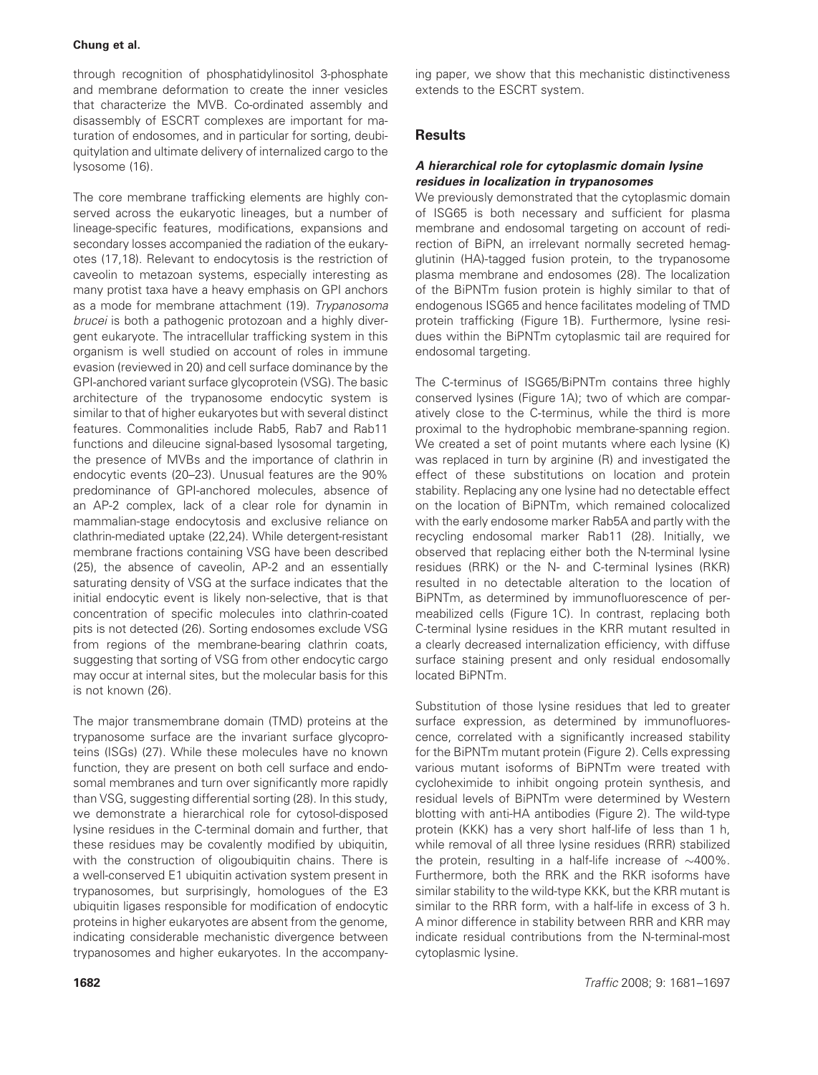through recognition of phosphatidylinositol 3-phosphate and membrane deformation to create the inner vesicles that characterize the MVB. Co-ordinated assembly and disassembly of ESCRT complexes are important for maturation of endosomes, and in particular for sorting, deubiquitylation and ultimate delivery of internalized cargo to the lysosome (16).

The core membrane trafficking elements are highly conserved across the eukaryotic lineages, but a number of lineage-specific features, modifications, expansions and secondary losses accompanied the radiation of the eukaryotes (17,18). Relevant to endocytosis is the restriction of caveolin to metazoan systems, especially interesting as many protist taxa have a heavy emphasis on GPI anchors as a mode for membrane attachment (19). Trypanosoma brucei is both a pathogenic protozoan and a highly divergent eukaryote. The intracellular trafficking system in this organism is well studied on account of roles in immune evasion (reviewed in 20) and cell surface dominance by the GPI-anchored variant surface glycoprotein (VSG). The basic architecture of the trypanosome endocytic system is similar to that of higher eukaryotes but with several distinct features. Commonalities include Rab5, Rab7 and Rab11 functions and dileucine signal-based lysosomal targeting, the presence of MVBs and the importance of clathrin in endocytic events (20–23). Unusual features are the 90% predominance of GPI-anchored molecules, absence of an AP-2 complex, lack of a clear role for dynamin in mammalian-stage endocytosis and exclusive reliance on clathrin-mediated uptake (22,24). While detergent-resistant membrane fractions containing VSG have been described (25), the absence of caveolin, AP-2 and an essentially saturating density of VSG at the surface indicates that the initial endocytic event is likely non-selective, that is that concentration of specific molecules into clathrin-coated pits is not detected (26). Sorting endosomes exclude VSG from regions of the membrane-bearing clathrin coats, suggesting that sorting of VSG from other endocytic cargo may occur at internal sites, but the molecular basis for this is not known (26).

The major transmembrane domain (TMD) proteins at the trypanosome surface are the invariant surface glycoproteins (ISGs) (27). While these molecules have no known function, they are present on both cell surface and endosomal membranes and turn over significantly more rapidly than VSG, suggesting differential sorting (28). In this study, we demonstrate a hierarchical role for cytosol-disposed lysine residues in the C-terminal domain and further, that these residues may be covalently modified by ubiquitin, with the construction of oligoubiquitin chains. There is a well-conserved E1 ubiquitin activation system present in trypanosomes, but surprisingly, homologues of the E3 ubiquitin ligases responsible for modification of endocytic proteins in higher eukaryotes are absent from the genome, indicating considerable mechanistic divergence between trypanosomes and higher eukaryotes. In the accompanying paper, we show that this mechanistic distinctiveness extends to the ESCRT system.

# **Results**

## A hierarchical role for cytoplasmic domain lysine residues in localization in trypanosomes

We previously demonstrated that the cytoplasmic domain of ISG65 is both necessary and sufficient for plasma membrane and endosomal targeting on account of redirection of BiPN, an irrelevant normally secreted hemagglutinin (HA)-tagged fusion protein, to the trypanosome plasma membrane and endosomes (28). The localization of the BiPNTm fusion protein is highly similar to that of endogenous ISG65 and hence facilitates modeling of TMD protein trafficking (Figure 1B). Furthermore, lysine residues within the BiPNTm cytoplasmic tail are required for endosomal targeting.

The C-terminus of ISG65/BiPNTm contains three highly conserved lysines (Figure 1A); two of which are comparatively close to the C-terminus, while the third is more proximal to the hydrophobic membrane-spanning region. We created a set of point mutants where each lysine (K) was replaced in turn by arginine (R) and investigated the effect of these substitutions on location and protein stability. Replacing any one lysine had no detectable effect on the location of BiPNTm, which remained colocalized with the early endosome marker Rab5A and partly with the recycling endosomal marker Rab11 (28). Initially, we observed that replacing either both the N-terminal lysine residues (RRK) or the N- and C-terminal lysines (RKR) resulted in no detectable alteration to the location of BiPNTm, as determined by immunofluorescence of permeabilized cells (Figure 1C). In contrast, replacing both C-terminal lysine residues in the KRR mutant resulted in a clearly decreased internalization efficiency, with diffuse surface staining present and only residual endosomally located BiPNTm.

Substitution of those lysine residues that led to greater surface expression, as determined by immunofluorescence, correlated with a significantly increased stability for the BiPNTm mutant protein (Figure 2). Cells expressing various mutant isoforms of BiPNTm were treated with cycloheximide to inhibit ongoing protein synthesis, and residual levels of BiPNTm were determined by Western blotting with anti-HA antibodies (Figure 2). The wild-type protein (KKK) has a very short half-life of less than 1 h, while removal of all three lysine residues (RRR) stabilized the protein, resulting in a half-life increase of  $\sim$ 400%. Furthermore, both the RRK and the RKR isoforms have similar stability to the wild-type KKK, but the KRR mutant is similar to the RRR form, with a half-life in excess of 3 h. A minor difference in stability between RRR and KRR may indicate residual contributions from the N-terminal-most cytoplasmic lysine.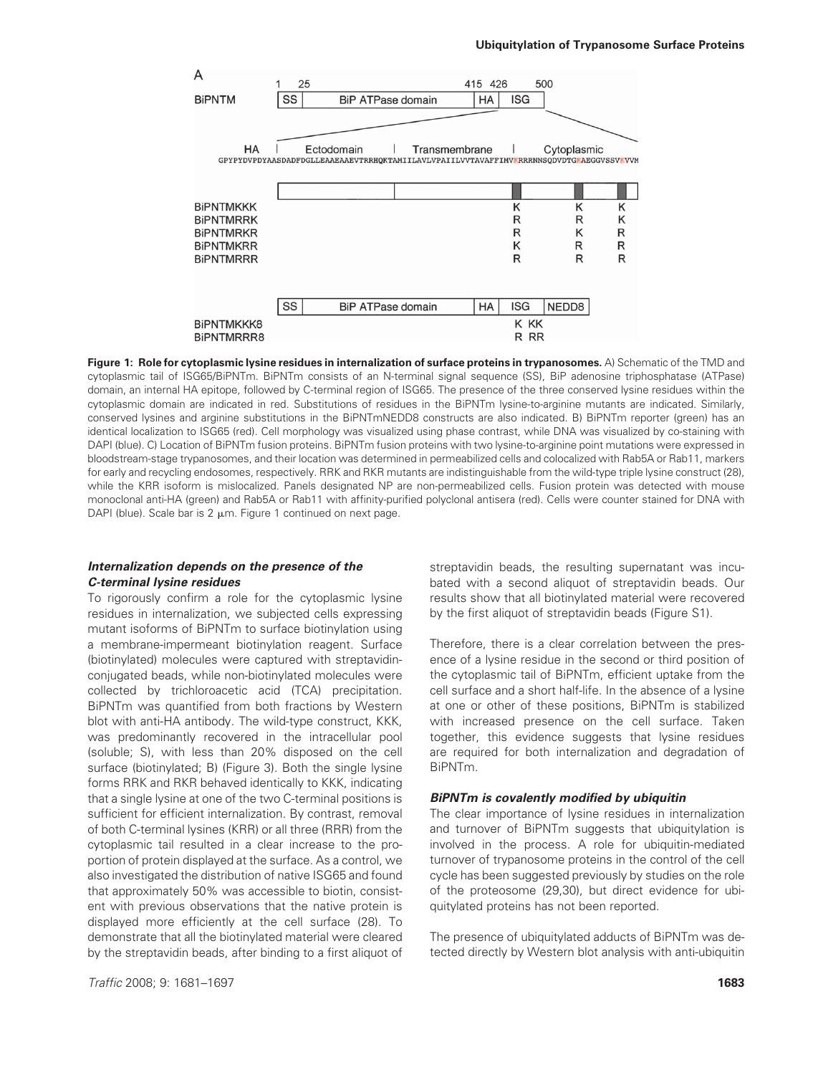

Figure 1: Role for cytoplasmic lysine residues in internalization of surface proteins in trypanosomes. A) Schematic of the TMD and cytoplasmic tail of ISG65/BiPNTm. BiPNTm consists of an N-terminal signal sequence (SS), BiP adenosine triphosphatase (ATPase) domain, an internal HA epitope, followed by C-terminal region of ISG65. The presence of the three conserved lysine residues within the cytoplasmic domain are indicated in red. Substitutions of residues in the BiPNTm lysine-to-arginine mutants are indicated. Similarly, conserved lysines and arginine substitutions in the BiPNTmNEDD8 constructs are also indicated. B) BiPNTm reporter (green) has an identical localization to ISG65 (red). Cell morphology was visualized using phase contrast, while DNA was visualized by co-staining with DAPI (blue). C) Location of BiPNTm fusion proteins. BiPNTm fusion proteins with two lysine-to-arginine point mutations were expressed in bloodstream-stage trypanosomes, and their location was determined in permeabilized cells and colocalized with Rab5A or Rab11, markers for early and recycling endosomes, respectively. RRK and RKR mutants are indistinguishable from the wild-type triple lysine construct (28), while the KRR isoform is mislocalized. Panels designated NP are non-permeabilized cells. Fusion protein was detected with mouse monoclonal anti-HA (green) and Rab5A or Rab11 with affinity-purified polyclonal antisera (red). Cells were counter stained for DNA with DAPI (blue). Scale bar is  $2 \mu m$ . Figure 1 continued on next page.

## Internalization depends on the presence of the C-terminal lysine residues

To rigorously confirm a role for the cytoplasmic lysine residues in internalization, we subjected cells expressing mutant isoforms of BiPNTm to surface biotinylation using a membrane-impermeant biotinylation reagent. Surface (biotinylated) molecules were captured with streptavidinconjugated beads, while non-biotinylated molecules were collected by trichloroacetic acid (TCA) precipitation. BiPNTm was quantified from both fractions by Western blot with anti-HA antibody. The wild-type construct, KKK, was predominantly recovered in the intracellular pool (soluble; S), with less than 20% disposed on the cell surface (biotinylated; B) (Figure 3). Both the single lysine forms RRK and RKR behaved identically to KKK, indicating that a single lysine at one of the two C-terminal positions is sufficient for efficient internalization. By contrast, removal of both C-terminal lysines (KRR) or all three (RRR) from the cytoplasmic tail resulted in a clear increase to the proportion of protein displayed at the surface. As a control, we also investigated the distribution of native ISG65 and found that approximately 50% was accessible to biotin, consistent with previous observations that the native protein is displayed more efficiently at the cell surface (28). To demonstrate that all the biotinylated material were cleared by the streptavidin beads, after binding to a first aliquot of

**Traffic 2008; 9: 1681–1697** 1883) **1683** 

streptavidin beads, the resulting supernatant was incubated with a second aliquot of streptavidin beads. Our results show that all biotinylated material were recovered by the first aliquot of streptavidin beads (Figure S1).

Therefore, there is a clear correlation between the presence of a lysine residue in the second or third position of the cytoplasmic tail of BiPNTm, efficient uptake from the cell surface and a short half-life. In the absence of a lysine at one or other of these positions, BiPNTm is stabilized with increased presence on the cell surface. Taken together, this evidence suggests that lysine residues are required for both internalization and degradation of BiPNTm.

## BiPNTm is covalently modified by ubiquitin

The clear importance of lysine residues in internalization and turnover of BiPNTm suggests that ubiquitylation is involved in the process. A role for ubiquitin-mediated turnover of trypanosome proteins in the control of the cell cycle has been suggested previously by studies on the role of the proteosome (29,30), but direct evidence for ubiquitylated proteins has not been reported.

The presence of ubiquitylated adducts of BiPNTm was detected directly by Western blot analysis with anti-ubiquitin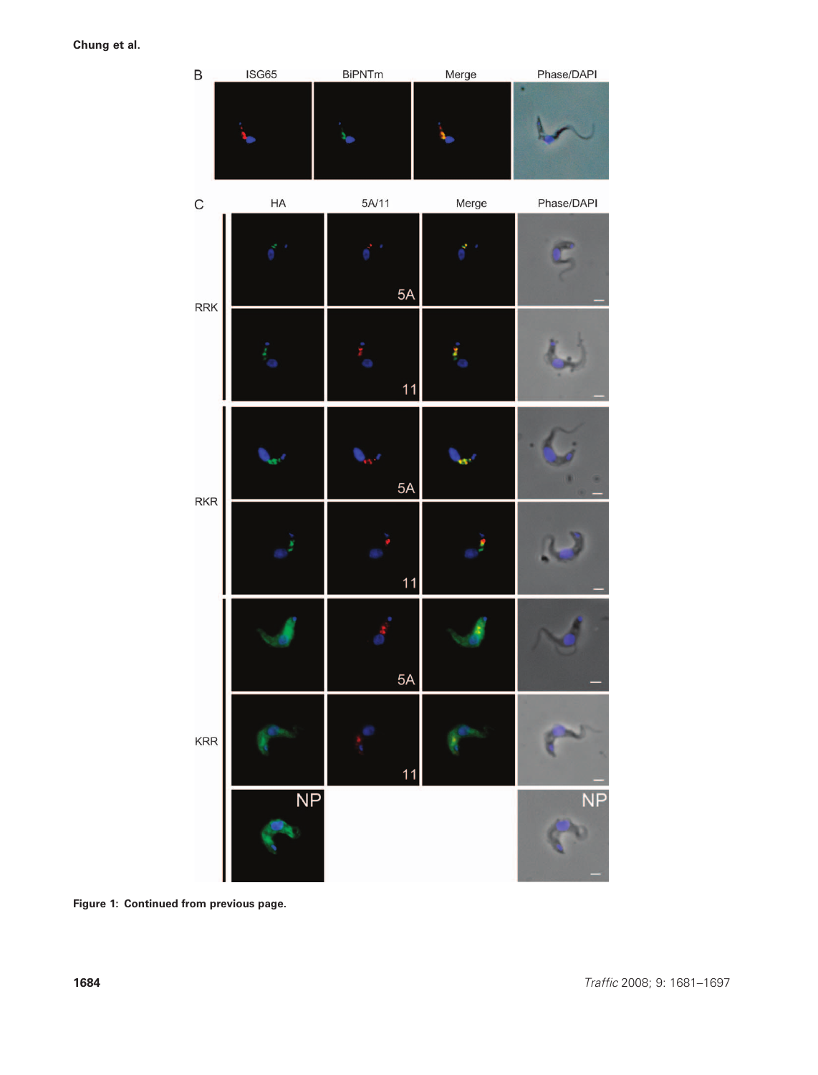

Figure 1: Continued from previous page.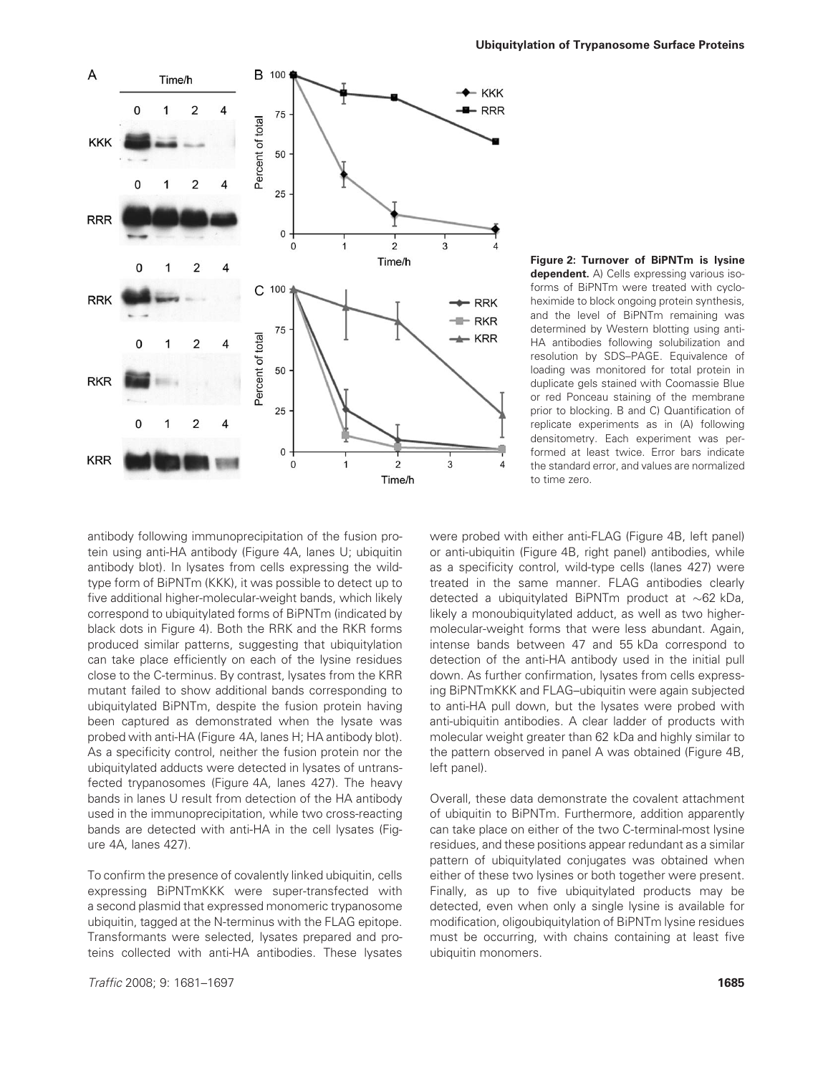

Figure 2: Turnover of BiPNTm is lysine dependent. A) Cells expressing various isoforms of BiPNTm were treated with cycloheximide to block ongoing protein synthesis, and the level of BiPNTm remaining was determined by Western blotting using anti-HA antibodies following solubilization and resolution by SDS–PAGE. Equivalence of loading was monitored for total protein in duplicate gels stained with Coomassie Blue or red Ponceau staining of the membrane prior to blocking. B and C) Quantification of replicate experiments as in (A) following densitometry. Each experiment was performed at least twice. Error bars indicate the standard error, and values are normalized to time zero.

antibody following immunoprecipitation of the fusion protein using anti-HA antibody (Figure 4A, lanes U; ubiquitin antibody blot). In lysates from cells expressing the wildtype form of BiPNTm (KKK), it was possible to detect up to five additional higher-molecular-weight bands, which likely correspond to ubiquitylated forms of BiPNTm (indicated by black dots in Figure 4). Both the RRK and the RKR forms produced similar patterns, suggesting that ubiquitylation can take place efficiently on each of the lysine residues close to the C-terminus. By contrast, lysates from the KRR mutant failed to show additional bands corresponding to ubiquitylated BiPNTm, despite the fusion protein having been captured as demonstrated when the lysate was probed with anti-HA (Figure 4A, lanes H; HA antibody blot). As a specificity control, neither the fusion protein nor the ubiquitylated adducts were detected in lysates of untransfected trypanosomes (Figure 4A, lanes 427). The heavy bands in lanes U result from detection of the HA antibody used in the immunoprecipitation, while two cross-reacting bands are detected with anti-HA in the cell lysates (Figure 4A, lanes 427).

To confirm the presence of covalently linked ubiquitin, cells expressing BiPNTmKKK were super-transfected with a second plasmid that expressed monomeric trypanosome ubiquitin, tagged at the N-terminus with the FLAG epitope. Transformants were selected, lysates prepared and proteins collected with anti-HA antibodies. These lysates

**Traffic 2008; 9: 1681–1697** 1885) **1685** 

were probed with either anti-FLAG (Figure 4B, left panel) or anti-ubiquitin (Figure 4B, right panel) antibodies, while as a specificity control, wild-type cells (lanes 427) were treated in the same manner. FLAG antibodies clearly detected a ubiquitylated BiPNTm product at  $\sim$ 62 kDa, likely a monoubiquitylated adduct, as well as two highermolecular-weight forms that were less abundant. Again, intense bands between 47 and 55 kDa correspond to detection of the anti-HA antibody used in the initial pull down. As further confirmation, lysates from cells expressing BiPNTmKKK and FLAG–ubiquitin were again subjected to anti-HA pull down, but the lysates were probed with anti-ubiquitin antibodies. A clear ladder of products with molecular weight greater than 62 kDa and highly similar to the pattern observed in panel A was obtained (Figure 4B, left panel).

Overall, these data demonstrate the covalent attachment of ubiquitin to BiPNTm. Furthermore, addition apparently can take place on either of the two C-terminal-most lysine residues, and these positions appear redundant as a similar pattern of ubiquitylated conjugates was obtained when either of these two lysines or both together were present. Finally, as up to five ubiquitylated products may be detected, even when only a single lysine is available for modification, oligoubiquitylation of BiPNTm lysine residues must be occurring, with chains containing at least five ubiquitin monomers.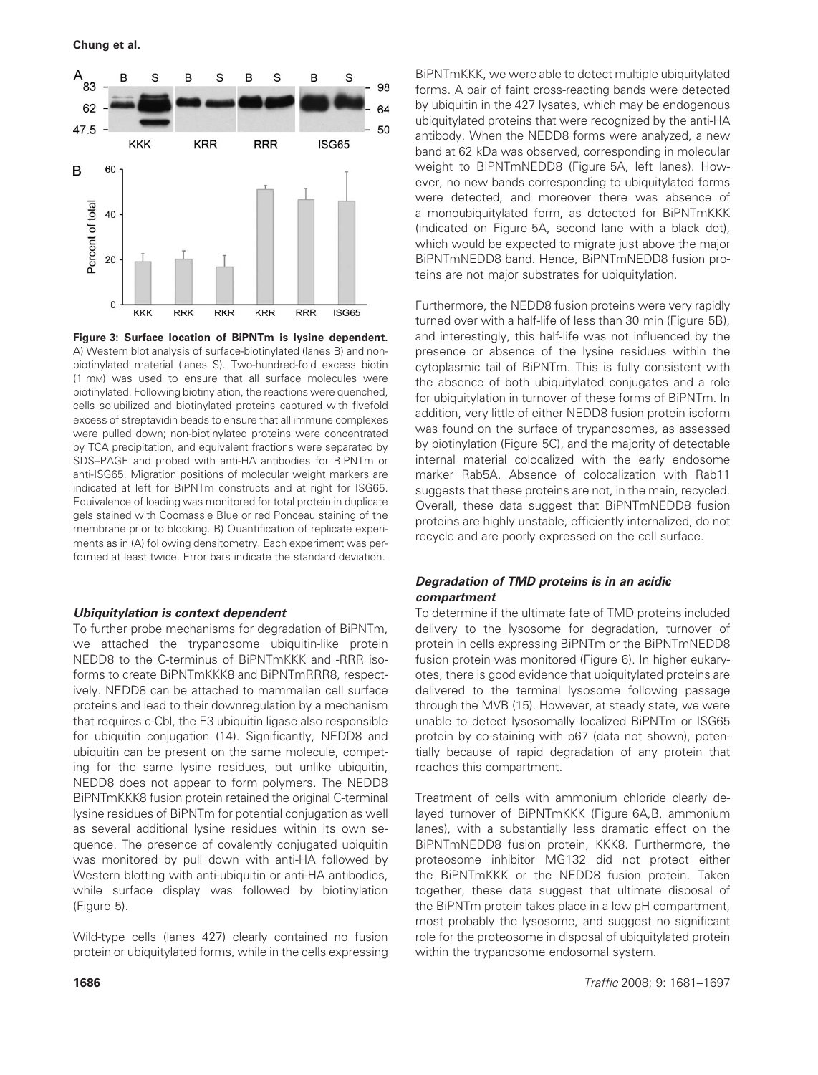

Figure 3: Surface location of BiPNTm is lysine dependent. A) Western blot analysis of surface-biotinylated (lanes B) and nonbiotinylated material (lanes S). Two-hundred-fold excess biotin (1 mM) was used to ensure that all surface molecules were biotinylated. Following biotinylation, the reactions were quenched, cells solubilized and biotinylated proteins captured with fivefold excess of streptavidin beads to ensure that all immune complexes were pulled down; non-biotinylated proteins were concentrated by TCA precipitation, and equivalent fractions were separated by SDS–PAGE and probed with anti-HA antibodies for BiPNTm or anti-ISG65. Migration positions of molecular weight markers are indicated at left for BiPNTm constructs and at right for ISG65. Equivalence of loading was monitored for total protein in duplicate gels stained with Coomassie Blue or red Ponceau staining of the membrane prior to blocking. B) Quantification of replicate experiments as in (A) following densitometry. Each experiment was performed at least twice. Error bars indicate the standard deviation.

#### Ubiquitylation is context dependent

To further probe mechanisms for degradation of BiPNTm, we attached the trypanosome ubiquitin-like protein NEDD8 to the C-terminus of BiPNTmKKK and -RRR isoforms to create BiPNTmKKK8 and BiPNTmRRR8, respectively. NEDD8 can be attached to mammalian cell surface proteins and lead to their downregulation by a mechanism that requires c-Cbl, the E3 ubiquitin ligase also responsible for ubiquitin conjugation (14). Significantly, NEDD8 and ubiquitin can be present on the same molecule, competing for the same lysine residues, but unlike ubiquitin, NEDD8 does not appear to form polymers. The NEDD8 BiPNTmKKK8 fusion protein retained the original C-terminal lysine residues of BiPNTm for potential conjugation as well as several additional lysine residues within its own sequence. The presence of covalently conjugated ubiquitin was monitored by pull down with anti-HA followed by Western blotting with anti-ubiquitin or anti-HA antibodies, while surface display was followed by biotinylation (Figure 5).

Wild-type cells (lanes 427) clearly contained no fusion protein or ubiquitylated forms, while in the cells expressing

BiPNTmKKK, we were able to detect multiple ubiquitylated forms. A pair of faint cross-reacting bands were detected by ubiquitin in the 427 lysates, which may be endogenous ubiquitylated proteins that were recognized by the anti-HA antibody. When the NEDD8 forms were analyzed, a new band at 62 kDa was observed, corresponding in molecular weight to BiPNTmNEDD8 (Figure 5A, left lanes). However, no new bands corresponding to ubiquitylated forms were detected, and moreover there was absence of a monoubiquitylated form, as detected for BiPNTmKKK (indicated on Figure 5A, second lane with a black dot), which would be expected to migrate just above the major BiPNTmNEDD8 band. Hence, BiPNTmNEDD8 fusion proteins are not major substrates for ubiquitylation.

Furthermore, the NEDD8 fusion proteins were very rapidly turned over with a half-life of less than 30 min (Figure 5B), and interestingly, this half-life was not influenced by the presence or absence of the lysine residues within the cytoplasmic tail of BiPNTm. This is fully consistent with the absence of both ubiquitylated conjugates and a role for ubiquitylation in turnover of these forms of BiPNTm. In addition, very little of either NEDD8 fusion protein isoform was found on the surface of trypanosomes, as assessed by biotinylation (Figure 5C), and the majority of detectable internal material colocalized with the early endosome marker Rab5A. Absence of colocalization with Rab11 suggests that these proteins are not, in the main, recycled. Overall, these data suggest that BiPNTmNEDD8 fusion proteins are highly unstable, efficiently internalized, do not recycle and are poorly expressed on the cell surface.

## Degradation of TMD proteins is in an acidic compartment

To determine if the ultimate fate of TMD proteins included delivery to the lysosome for degradation, turnover of protein in cells expressing BiPNTm or the BiPNTmNEDD8 fusion protein was monitored (Figure 6). In higher eukaryotes, there is good evidence that ubiquitylated proteins are delivered to the terminal lysosome following passage through the MVB (15). However, at steady state, we were unable to detect lysosomally localized BiPNTm or ISG65 protein by co-staining with p67 (data not shown), potentially because of rapid degradation of any protein that reaches this compartment.

Treatment of cells with ammonium chloride clearly delayed turnover of BiPNTmKKK (Figure 6A,B, ammonium lanes), with a substantially less dramatic effect on the BiPNTmNEDD8 fusion protein, KKK8. Furthermore, the proteosome inhibitor MG132 did not protect either the BiPNTmKKK or the NEDD8 fusion protein. Taken together, these data suggest that ultimate disposal of the BiPNTm protein takes place in a low pH compartment, most probably the lysosome, and suggest no significant role for the proteosome in disposal of ubiquitylated protein within the trypanosome endosomal system.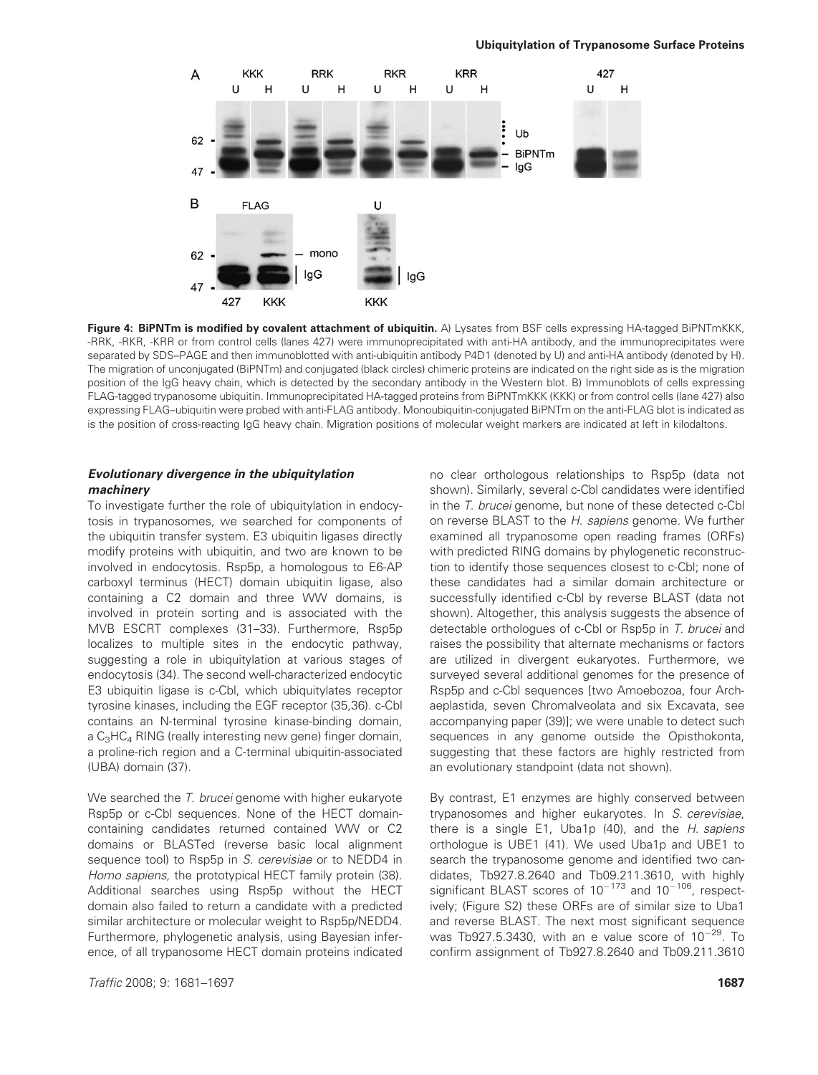

Figure 4: BiPNTm is modified by covalent attachment of ubiquitin. A) Lysates from BSF cells expressing HA-tagged BiPNTmKKK, -RRK, -RKR, -KRR or from control cells (lanes 427) were immunoprecipitated with anti-HA antibody, and the immunoprecipitates were separated by SDS–PAGE and then immunoblotted with anti-ubiquitin antibody P4D1 (denoted by U) and anti-HA antibody (denoted by H). The migration of unconjugated (BiPNTm) and conjugated (black circles) chimeric proteins are indicated on the right side as is the migration position of the IgG heavy chain, which is detected by the secondary antibody in the Western blot. B) Immunoblots of cells expressing FLAG-tagged trypanosome ubiquitin. Immunoprecipitated HA-tagged proteins from BiPNTmKKK (KKK) or from control cells (lane 427) also expressing FLAG–ubiquitin were probed with anti-FLAG antibody. Monoubiquitin-conjugated BiPNTm on the anti-FLAG blot is indicated as is the position of cross-reacting IgG heavy chain. Migration positions of molecular weight markers are indicated at left in kilodaltons.

# Evolutionary divergence in the ubiquitylation machinery

To investigate further the role of ubiquitylation in endocytosis in trypanosomes, we searched for components of the ubiquitin transfer system. E3 ubiquitin ligases directly modify proteins with ubiquitin, and two are known to be involved in endocytosis. Rsp5p, a homologous to E6-AP carboxyl terminus (HECT) domain ubiquitin ligase, also containing a C2 domain and three WW domains, is involved in protein sorting and is associated with the MVB ESCRT complexes (31–33). Furthermore, Rsp5p localizes to multiple sites in the endocytic pathway, suggesting a role in ubiquitylation at various stages of endocytosis (34). The second well-characterized endocytic E3 ubiquitin ligase is c-Cbl, which ubiquitylates receptor tyrosine kinases, including the EGF receptor (35,36). c-Cbl contains an N-terminal tyrosine kinase-binding domain, a  $C_3HC_4$  RING (really interesting new gene) finger domain, a proline-rich region and a C-terminal ubiquitin-associated (UBA) domain (37).

We searched the T. brucei genome with higher eukaryote Rsp5p or c-Cbl sequences. None of the HECT domaincontaining candidates returned contained WW or C2 domains or BLASTed (reverse basic local alignment sequence tool) to Rsp5p in S. cerevisiae or to NEDD4 in Homo sapiens, the prototypical HECT family protein (38). Additional searches using Rsp5p without the HECT domain also failed to return a candidate with a predicted similar architecture or molecular weight to Rsp5p/NEDD4. Furthermore, phylogenetic analysis, using Bayesian inference, of all trypanosome HECT domain proteins indicated no clear orthologous relationships to Rsp5p (data not shown). Similarly, several c-Cbl candidates were identified in the T. brucei genome, but none of these detected c-Cbl on reverse BLAST to the H. sapiens genome. We further examined all trypanosome open reading frames (ORFs) with predicted RING domains by phylogenetic reconstruction to identify those sequences closest to c-Cbl; none of these candidates had a similar domain architecture or successfully identified c-Cbl by reverse BLAST (data not shown). Altogether, this analysis suggests the absence of detectable orthologues of c-Cbl or Rsp5p in T. brucei and raises the possibility that alternate mechanisms or factors are utilized in divergent eukaryotes. Furthermore, we surveyed several additional genomes for the presence of Rsp5p and c-Cbl sequences [two Amoebozoa, four Archaeplastida, seven Chromalveolata and six Excavata, see accompanying paper (39)]; we were unable to detect such sequences in any genome outside the Opisthokonta, suggesting that these factors are highly restricted from an evolutionary standpoint (data not shown).

By contrast, E1 enzymes are highly conserved between trypanosomes and higher eukaryotes. In S. cerevisiae, there is a single E1, Uba1p (40), and the H. sapiens orthologue is UBE1 (41). We used Uba1p and UBE1 to search the trypanosome genome and identified two candidates, Tb927.8.2640 and Tb09.211.3610, with highly significant BLAST scores of  $10^{-173}$  and  $10^{-106}$ , respectively; (Figure S2) these ORFs are of similar size to Uba1 and reverse BLAST. The next most significant sequence was Tb927.5.3430, with an e value score of  $10^{-29}$ . To confirm assignment of Tb927.8.2640 and Tb09.211.3610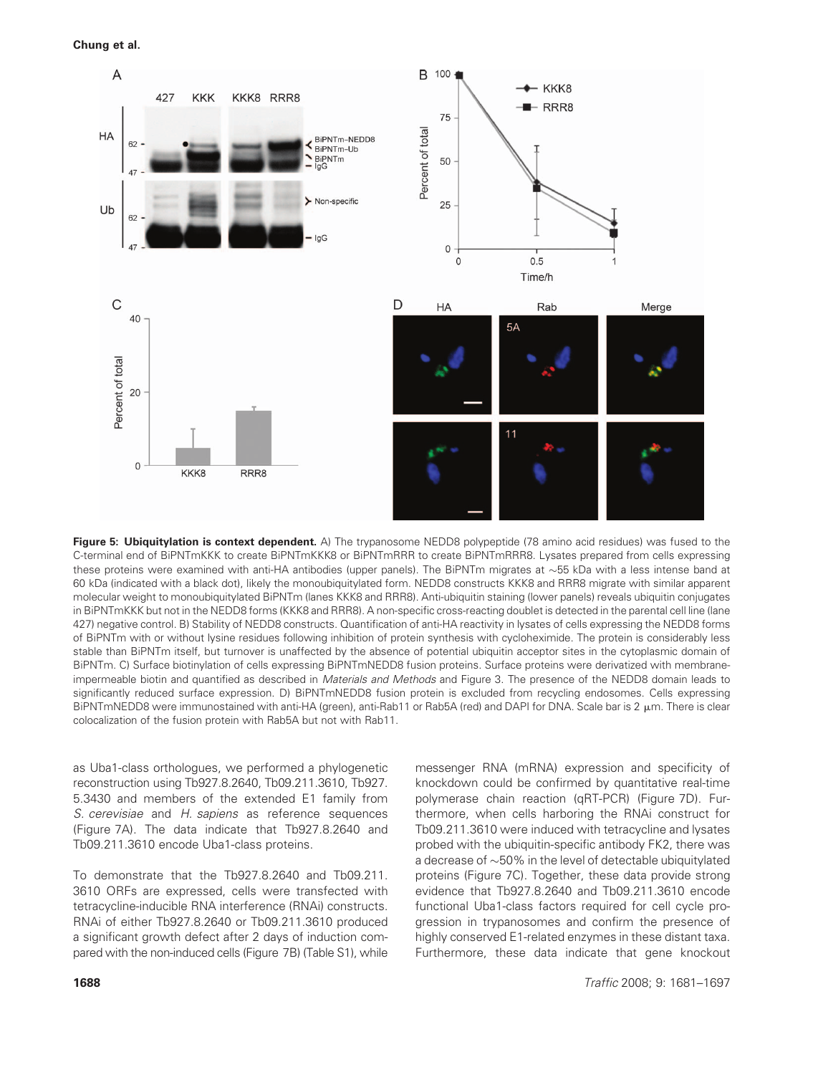Chung et al.



Figure 5: Ubiquitylation is context dependent. A) The trypanosome NEDD8 polypeptide (78 amino acid residues) was fused to the C-terminal end of BiPNTmKKK to create BiPNTmKKK8 or BiPNTmRRR to create BiPNTmRRR8. Lysates prepared from cells expressing these proteins were examined with anti-HA antibodies (upper panels). The BiPNTm migrates at  $\sim$ 55 kDa with a less intense band at 60 kDa (indicated with a black dot), likely the monoubiquitylated form. NEDD8 constructs KKK8 and RRR8 migrate with similar apparent molecular weight to monoubiquitylated BiPNTm (lanes KKK8 and RRR8). Anti-ubiquitin staining (lower panels) reveals ubiquitin conjugates in BiPNTmKKK but not in the NEDD8 forms (KKK8 and RRR8). A non-specific cross-reacting doublet is detected in the parental cell line (lane 427) negative control. B) Stability of NEDD8 constructs. Quantification of anti-HA reactivity in lysates of cells expressing the NEDD8 forms of BiPNTm with or without lysine residues following inhibition of protein synthesis with cycloheximide. The protein is considerably less stable than BiPNTm itself, but turnover is unaffected by the absence of potential ubiquitin acceptor sites in the cytoplasmic domain of BiPNTm. C) Surface biotinylation of cells expressing BiPNTmNEDD8 fusion proteins. Surface proteins were derivatized with membraneimpermeable biotin and quantified as described in Materials and Methods and Figure 3. The presence of the NEDD8 domain leads to significantly reduced surface expression. D) BiPNTmNEDD8 fusion protein is excluded from recycling endosomes. Cells expressing BiPNTmNEDD8 were immunostained with anti-HA (green), anti-Rab11 or Rab5A (red) and DAPI for DNA. Scale bar is 2  $\mu$ m. There is clear colocalization of the fusion protein with Rab5A but not with Rab11.

as Uba1-class orthologues, we performed a phylogenetic reconstruction using Tb927.8.2640, Tb09.211.3610, Tb927. 5.3430 and members of the extended E1 family from S. cerevisiae and H. sapiens as reference sequences (Figure 7A). The data indicate that Tb927.8.2640 and Tb09.211.3610 encode Uba1-class proteins.

To demonstrate that the Tb927.8.2640 and Tb09.211. 3610 ORFs are expressed, cells were transfected with tetracycline-inducible RNA interference (RNAi) constructs. RNAi of either Tb927.8.2640 or Tb09.211.3610 produced a significant growth defect after 2 days of induction compared with the non-induced cells (Figure 7B) (Table S1), while messenger RNA (mRNA) expression and specificity of knockdown could be confirmed by quantitative real-time polymerase chain reaction (qRT-PCR) (Figure 7D). Furthermore, when cells harboring the RNAi construct for Tb09.211.3610 were induced with tetracycline and lysates probed with the ubiquitin-specific antibody FK2, there was a decrease of  $\sim$  50% in the level of detectable ubiquitylated proteins (Figure 7C). Together, these data provide strong evidence that Tb927.8.2640 and Tb09.211.3610 encode functional Uba1-class factors required for cell cycle progression in trypanosomes and confirm the presence of highly conserved E1-related enzymes in these distant taxa. Furthermore, these data indicate that gene knockout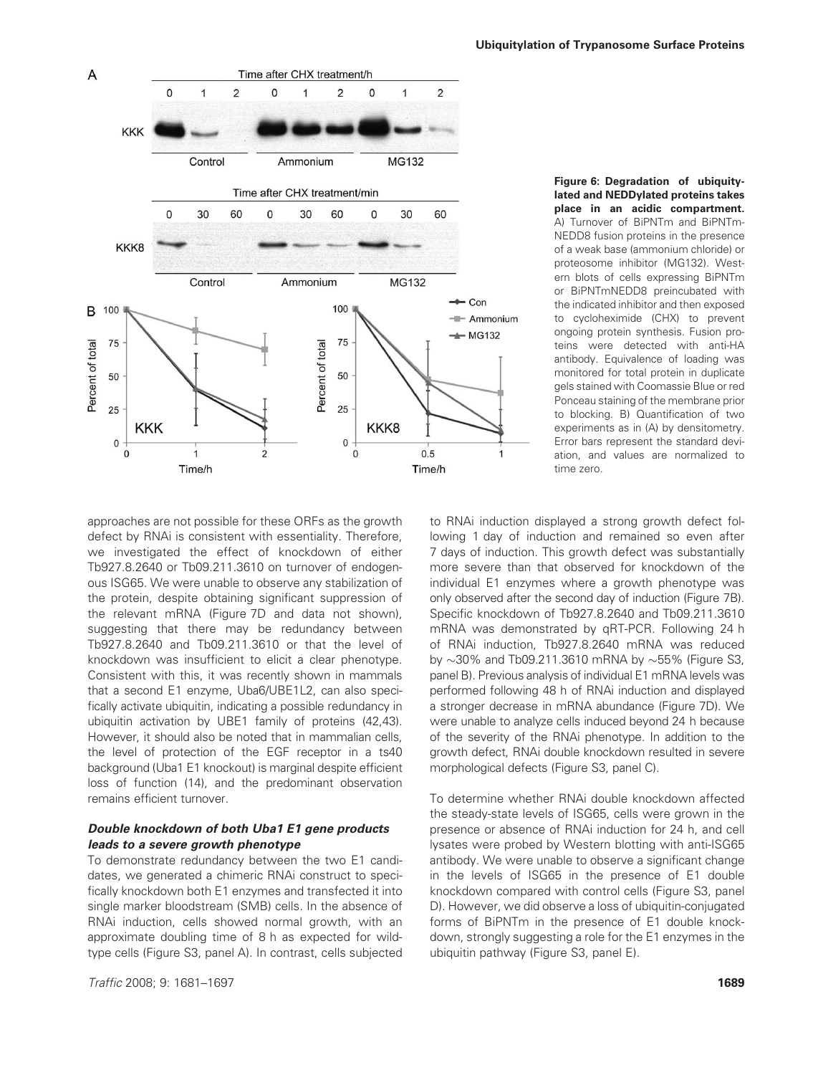

Figure 6: Degradation of ubiquitylated and NEDDylated proteins takes place in an acidic compartment. A) Turnover of BiPNTm and BiPNTm-NEDD8 fusion proteins in the presence of a weak base (ammonium chloride) or proteosome inhibitor (MG132). Western blots of cells expressing BiPNTm or BiPNTmNEDD8 preincubated with the indicated inhibitor and then exposed to cycloheximide (CHX) to prevent ongoing protein synthesis. Fusion proteins were detected with anti-HA antibody. Equivalence of loading was monitored for total protein in duplicate gels stained with Coomassie Blue or red Ponceau staining of the membrane prior to blocking. B) Quantification of two experiments as in (A) by densitometry. Error bars represent the standard deviation, and values are normalized to time zero.

approaches are not possible for these ORFs as the growth defect by RNAi is consistent with essentiality. Therefore, we investigated the effect of knockdown of either Tb927.8.2640 or Tb09.211.3610 on turnover of endogenous ISG65. We were unable to observe any stabilization of the protein, despite obtaining significant suppression of the relevant mRNA (Figure 7D and data not shown), suggesting that there may be redundancy between Tb927.8.2640 and Tb09.211.3610 or that the level of knockdown was insufficient to elicit a clear phenotype. Consistent with this, it was recently shown in mammals that a second E1 enzyme, Uba6/UBE1L2, can also specifically activate ubiquitin, indicating a possible redundancy in ubiquitin activation by UBE1 family of proteins (42,43). However, it should also be noted that in mammalian cells, the level of protection of the EGF receptor in a ts40 background (Uba1 E1 knockout) is marginal despite efficient loss of function (14), and the predominant observation remains efficient turnover.

# Double knockdown of both Uba1 E1 gene products leads to a severe growth phenotype

To demonstrate redundancy between the two E1 candidates, we generated a chimeric RNAi construct to specifically knockdown both E1 enzymes and transfected it into single marker bloodstream (SMB) cells. In the absence of RNAi induction, cells showed normal growth, with an approximate doubling time of 8 h as expected for wildtype cells (Figure S3, panel A). In contrast, cells subjected

**Traffic 2008; 9: 1681–1697** 1889) 2008; 2016 2020 2020 2020 2031 2040 2050 2061 2072 2089 2092 2016 2020 2031 20

to RNAi induction displayed a strong growth defect following 1 day of induction and remained so even after 7 days of induction. This growth defect was substantially more severe than that observed for knockdown of the individual E1 enzymes where a growth phenotype was only observed after the second day of induction (Figure 7B). Specific knockdown of Tb927.8.2640 and Tb09.211.3610 mRNA was demonstrated by qRT-PCR. Following 24 h of RNAi induction, Tb927.8.2640 mRNA was reduced by  $\sim$ 30% and Tb09.211.3610 mRNA by  $\sim$ 55% (Figure S3, panel B). Previous analysis of individual E1 mRNA levels was performed following 48 h of RNAi induction and displayed a stronger decrease in mRNA abundance (Figure 7D). We were unable to analyze cells induced beyond 24 h because of the severity of the RNAi phenotype. In addition to the growth defect, RNAi double knockdown resulted in severe morphological defects (Figure S3, panel C).

To determine whether RNAi double knockdown affected the steady-state levels of ISG65, cells were grown in the presence or absence of RNAi induction for 24 h, and cell lysates were probed by Western blotting with anti-ISG65 antibody. We were unable to observe a significant change in the levels of ISG65 in the presence of E1 double knockdown compared with control cells (Figure S3, panel D). However, we did observe a loss of ubiquitin-conjugated forms of BiPNTm in the presence of E1 double knockdown, strongly suggesting a role for the E1 enzymes in the ubiquitin pathway (Figure S3, panel E).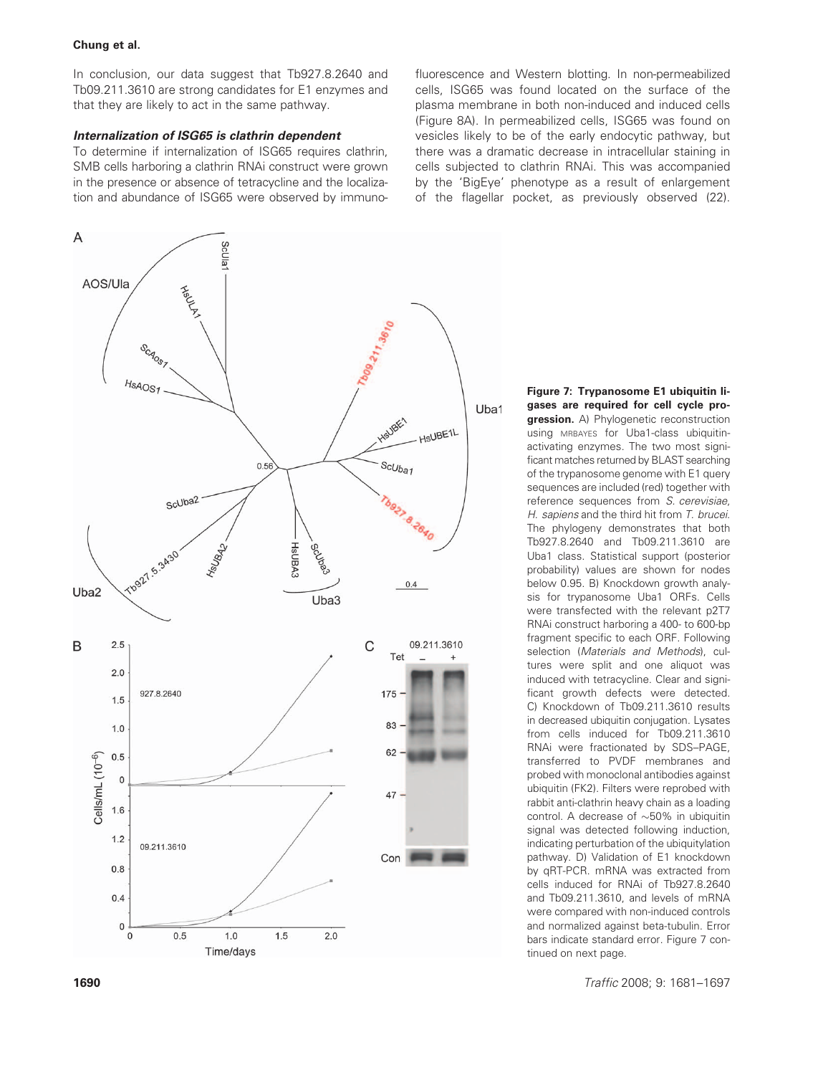In conclusion, our data suggest that Tb927.8.2640 and Tb09.211.3610 are strong candidates for E1 enzymes and that they are likely to act in the same pathway.

## Internalization of ISG65 is clathrin dependent

To determine if internalization of ISG65 requires clathrin, SMB cells harboring a clathrin RNAi construct were grown in the presence or absence of tetracycline and the localization and abundance of ISG65 were observed by immunofluorescence and Western blotting. In non-permeabilized cells, ISG65 was found located on the surface of the plasma membrane in both non-induced and induced cells (Figure 8A). In permeabilized cells, ISG65 was found on vesicles likely to be of the early endocytic pathway, but there was a dramatic decrease in intracellular staining in cells subjected to clathrin RNAi. This was accompanied by the 'BigEye' phenotype as a result of enlargement of the flagellar pocket, as previously observed (22).



gases are required for cell cycle pro**gression.** A) Phylogenetic reconstruction using MRBAYES for Uba1-class ubiquitinactivating enzymes. The two most significant matches returned by BLAST searching of the trypanosome genome with E1 query sequences are included (red) together with reference sequences from S. cerevisiae, H. sapiens and the third hit from T. brucei. The phylogeny demonstrates that both Tb927.8.2640 and Tb09.211.3610 are Uba1 class. Statistical support (posterior probability) values are shown for nodes below 0.95. B) Knockdown growth analysis for trypanosome Uba1 ORFs. Cells were transfected with the relevant p2T7 RNAi construct harboring a 400- to 600-bp fragment specific to each ORF. Following selection (Materials and Methods), cultures were split and one aliquot was induced with tetracycline. Clear and significant growth defects were detected. C) Knockdown of Tb09.211.3610 results in decreased ubiquitin conjugation. Lysates from cells induced for Tb09.211.3610 RNAi were fractionated by SDS–PAGE, transferred to PVDF membranes and probed with monoclonal antibodies against ubiquitin (FK2). Filters were reprobed with rabbit anti-clathrin heavy chain as a loading control. A decrease of  $\sim$ 50% in ubiquitin signal was detected following induction, indicating perturbation of the ubiquitylation pathway. D) Validation of E1 knockdown by qRT-PCR. mRNA was extracted from cells induced for RNAi of Tb927.8.2640 and Tb09.211.3610, and levels of mRNA were compared with non-induced controls and normalized against beta-tubulin. Error bars indicate standard error. Figure 7 con-

Figure 7: Trypanosome E1 ubiquitin li-

tinued on next page.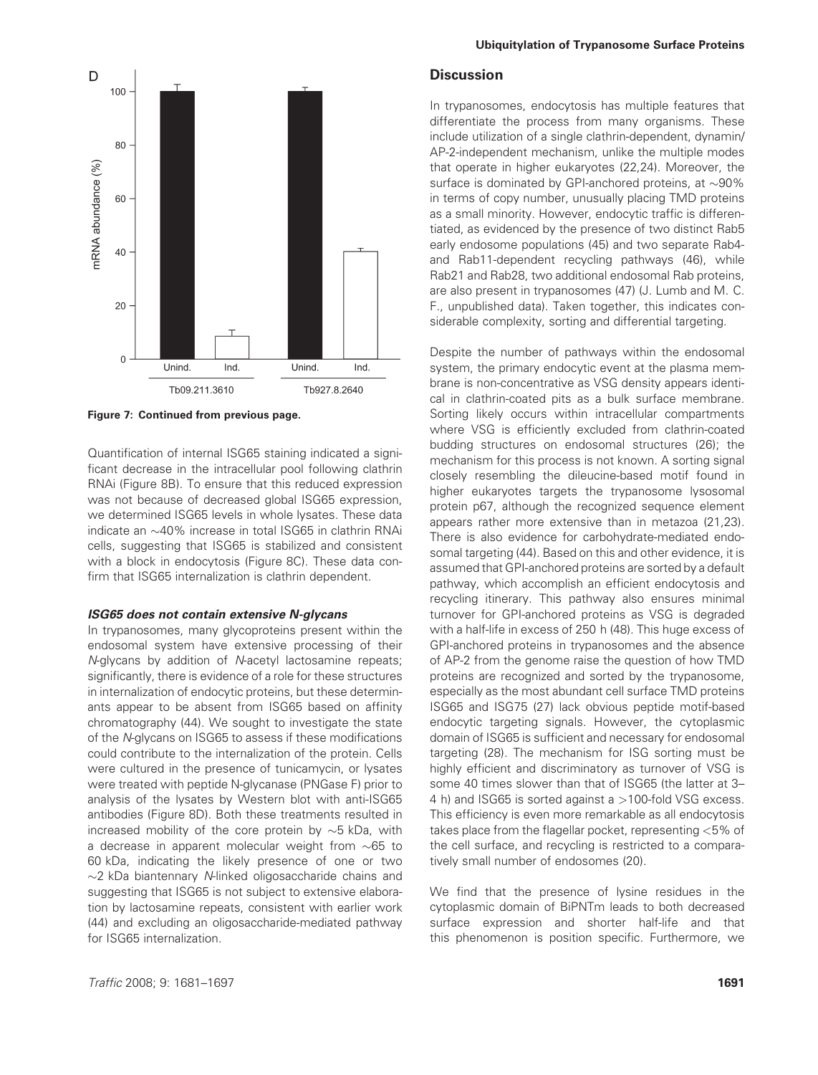

Figure 7: Continued from previous page.

Quantification of internal ISG65 staining indicated a significant decrease in the intracellular pool following clathrin RNAi (Figure 8B). To ensure that this reduced expression was not because of decreased global ISG65 expression, we determined ISG65 levels in whole lysates. These data indicate an  $\sim$ 40% increase in total ISG65 in clathrin RNAi cells, suggesting that ISG65 is stabilized and consistent with a block in endocytosis (Figure 8C). These data confirm that ISG65 internalization is clathrin dependent.

#### ISG65 does not contain extensive N-glycans

In trypanosomes, many glycoproteins present within the endosomal system have extensive processing of their N-glycans by addition of N-acetyl lactosamine repeats; significantly, there is evidence of a role for these structures in internalization of endocytic proteins, but these determinants appear to be absent from ISG65 based on affinity chromatography (44). We sought to investigate the state of the N-glycans on ISG65 to assess if these modifications could contribute to the internalization of the protein. Cells were cultured in the presence of tunicamycin, or lysates were treated with peptide N-glycanase (PNGase F) prior to analysis of the lysates by Western blot with anti-ISG65 antibodies (Figure 8D). Both these treatments resulted in increased mobility of the core protein by  $\sim$ 5 kDa, with a decrease in apparent molecular weight from  $\sim$ 65 to 60 kDa, indicating the likely presence of one or two  $\sim$ 2 kDa biantennary N-linked oligosaccharide chains and suggesting that ISG65 is not subject to extensive elaboration by lactosamine repeats, consistent with earlier work (44) and excluding an oligosaccharide-mediated pathway for ISG65 internalization.

## **Discussion**

In trypanosomes, endocytosis has multiple features that differentiate the process from many organisms. These include utilization of a single clathrin-dependent, dynamin/ AP-2-independent mechanism, unlike the multiple modes that operate in higher eukaryotes (22,24). Moreover, the surface is dominated by GPI-anchored proteins, at  $\sim$ 90% in terms of copy number, unusually placing TMD proteins as a small minority. However, endocytic traffic is differentiated, as evidenced by the presence of two distinct Rab5 early endosome populations (45) and two separate Rab4 and Rab11-dependent recycling pathways (46), while Rab21 and Rab28, two additional endosomal Rab proteins, are also present in trypanosomes (47) (J. Lumb and M. C. F., unpublished data). Taken together, this indicates considerable complexity, sorting and differential targeting.

Despite the number of pathways within the endosomal system, the primary endocytic event at the plasma membrane is non-concentrative as VSG density appears identical in clathrin-coated pits as a bulk surface membrane. Sorting likely occurs within intracellular compartments where VSG is efficiently excluded from clathrin-coated budding structures on endosomal structures (26); the mechanism for this process is not known. A sorting signal closely resembling the dileucine-based motif found in higher eukaryotes targets the trypanosome lysosomal protein p67, although the recognized sequence element appears rather more extensive than in metazoa (21,23). There is also evidence for carbohydrate-mediated endosomal targeting (44). Based on this and other evidence, it is assumed that GPI-anchored proteins are sorted by a default pathway, which accomplish an efficient endocytosis and recycling itinerary. This pathway also ensures minimal turnover for GPI-anchored proteins as VSG is degraded with a half-life in excess of 250 h (48). This huge excess of GPI-anchored proteins in trypanosomes and the absence of AP-2 from the genome raise the question of how TMD proteins are recognized and sorted by the trypanosome, especially as the most abundant cell surface TMD proteins ISG65 and ISG75 (27) lack obvious peptide motif-based endocytic targeting signals. However, the cytoplasmic domain of ISG65 is sufficient and necessary for endosomal targeting (28). The mechanism for ISG sorting must be highly efficient and discriminatory as turnover of VSG is some 40 times slower than that of ISG65 (the latter at 3– 4 h) and ISG65 is sorted against a >100-fold VSG excess. This efficiency is even more remarkable as all endocytosis takes place from the flagellar pocket, representing <5% of the cell surface, and recycling is restricted to a comparatively small number of endosomes (20).

We find that the presence of lysine residues in the cytoplasmic domain of BiPNTm leads to both decreased surface expression and shorter half-life and that this phenomenon is position specific. Furthermore, we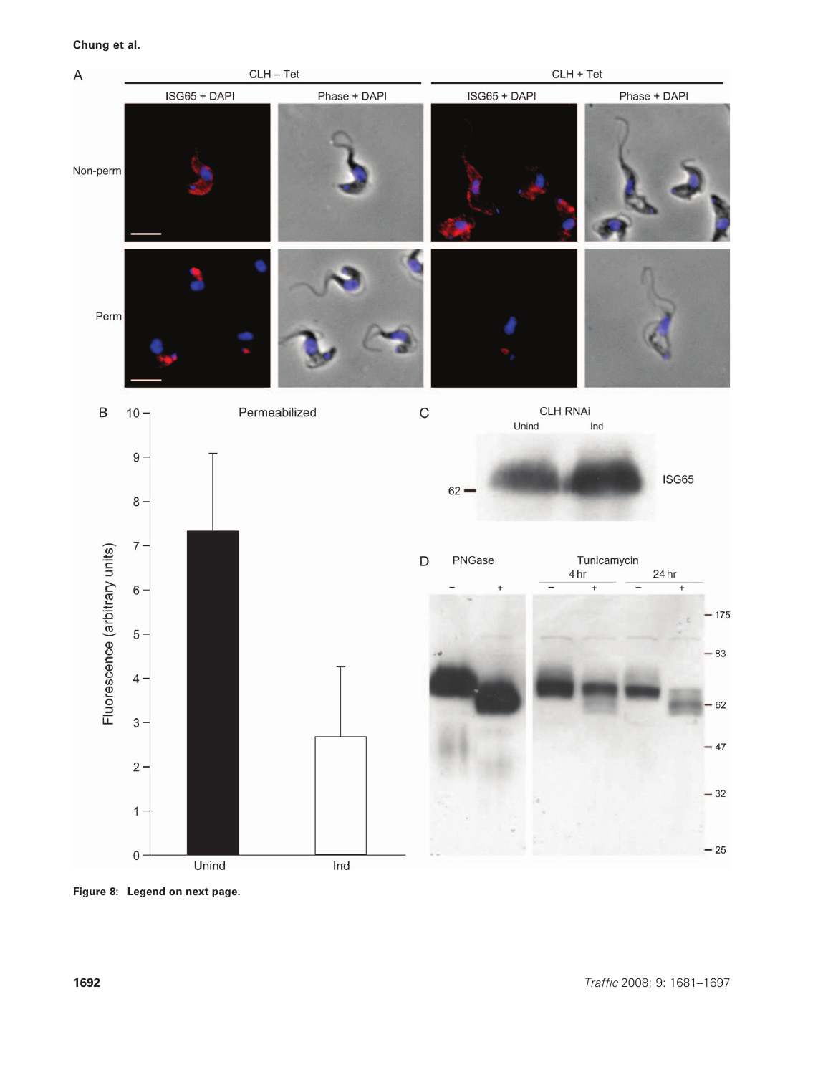

Figure 8: Legend on next page.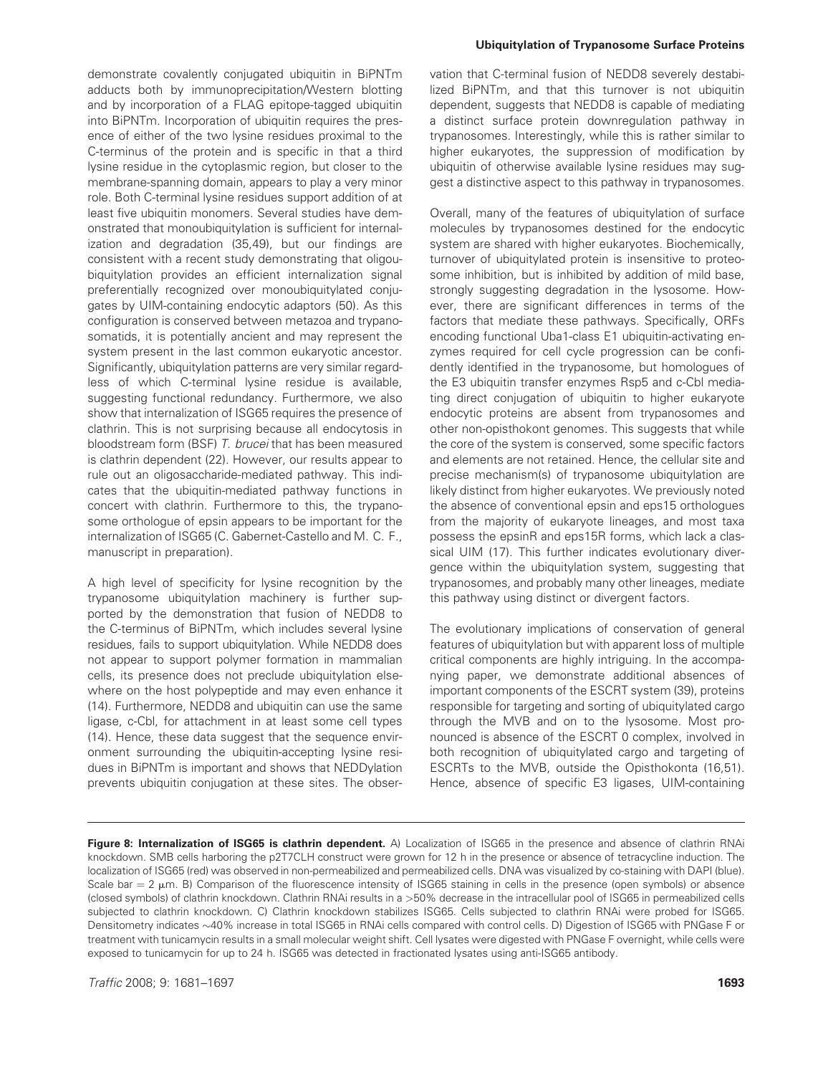demonstrate covalently conjugated ubiquitin in BiPNTm adducts both by immunoprecipitation/Western blotting and by incorporation of a FLAG epitope-tagged ubiquitin into BiPNTm. Incorporation of ubiquitin requires the presence of either of the two lysine residues proximal to the C-terminus of the protein and is specific in that a third lysine residue in the cytoplasmic region, but closer to the membrane-spanning domain, appears to play a very minor role. Both C-terminal lysine residues support addition of at least five ubiquitin monomers. Several studies have demonstrated that monoubiquitylation is sufficient for internalization and degradation (35,49), but our findings are consistent with a recent study demonstrating that oligoubiquitylation provides an efficient internalization signal preferentially recognized over monoubiquitylated conjugates by UIM-containing endocytic adaptors (50). As this configuration is conserved between metazoa and trypanosomatids, it is potentially ancient and may represent the system present in the last common eukaryotic ancestor. Significantly, ubiquitylation patterns are very similar regardless of which C-terminal lysine residue is available, suggesting functional redundancy. Furthermore, we also show that internalization of ISG65 requires the presence of clathrin. This is not surprising because all endocytosis in bloodstream form (BSF) T. brucei that has been measured is clathrin dependent (22). However, our results appear to rule out an oligosaccharide-mediated pathway. This indicates that the ubiquitin-mediated pathway functions in concert with clathrin. Furthermore to this, the trypanosome orthologue of epsin appears to be important for the internalization of ISG65 (C. Gabernet-Castello and M. C. F., manuscript in preparation).

A high level of specificity for lysine recognition by the trypanosome ubiquitylation machinery is further supported by the demonstration that fusion of NEDD8 to the C-terminus of BiPNTm, which includes several lysine residues, fails to support ubiquitylation. While NEDD8 does not appear to support polymer formation in mammalian cells, its presence does not preclude ubiquitylation elsewhere on the host polypeptide and may even enhance it (14). Furthermore, NEDD8 and ubiquitin can use the same ligase, c-Cbl, for attachment in at least some cell types (14). Hence, these data suggest that the sequence environment surrounding the ubiquitin-accepting lysine residues in BiPNTm is important and shows that NEDDylation prevents ubiquitin conjugation at these sites. The obser-

### Ubiquitylation of Trypanosome Surface Proteins

vation that C-terminal fusion of NEDD8 severely destabilized BiPNTm, and that this turnover is not ubiquitin dependent, suggests that NEDD8 is capable of mediating a distinct surface protein downregulation pathway in trypanosomes. Interestingly, while this is rather similar to higher eukaryotes, the suppression of modification by ubiquitin of otherwise available lysine residues may suggest a distinctive aspect to this pathway in trypanosomes.

Overall, many of the features of ubiquitylation of surface molecules by trypanosomes destined for the endocytic system are shared with higher eukaryotes. Biochemically, turnover of ubiquitylated protein is insensitive to proteosome inhibition, but is inhibited by addition of mild base, strongly suggesting degradation in the lysosome. However, there are significant differences in terms of the factors that mediate these pathways. Specifically, ORFs encoding functional Uba1-class E1 ubiquitin-activating enzymes required for cell cycle progression can be confidently identified in the trypanosome, but homologues of the E3 ubiquitin transfer enzymes Rsp5 and c-Cbl mediating direct conjugation of ubiquitin to higher eukaryote endocytic proteins are absent from trypanosomes and other non-opisthokont genomes. This suggests that while the core of the system is conserved, some specific factors and elements are not retained. Hence, the cellular site and precise mechanism(s) of trypanosome ubiquitylation are likely distinct from higher eukaryotes. We previously noted the absence of conventional epsin and eps15 orthologues from the majority of eukaryote lineages, and most taxa possess the epsinR and eps15R forms, which lack a classical UIM (17). This further indicates evolutionary divergence within the ubiquitylation system, suggesting that trypanosomes, and probably many other lineages, mediate this pathway using distinct or divergent factors.

The evolutionary implications of conservation of general features of ubiquitylation but with apparent loss of multiple critical components are highly intriguing. In the accompanying paper, we demonstrate additional absences of important components of the ESCRT system (39), proteins responsible for targeting and sorting of ubiquitylated cargo through the MVB and on to the lysosome. Most pronounced is absence of the ESCRT 0 complex, involved in both recognition of ubiquitylated cargo and targeting of ESCRTs to the MVB, outside the Opisthokonta (16,51). Hence, absence of specific E3 ligases, UIM-containing

Figure 8: Internalization of ISG65 is clathrin dependent. A) Localization of ISG65 in the presence and absence of clathrin RNAi knockdown. SMB cells harboring the p2T7CLH construct were grown for 12 h in the presence or absence of tetracycline induction. The localization of ISG65 (red) was observed in non-permeabilized and permeabilized cells. DNA was visualized by co-staining with DAPI (blue). Scale bar  $= 2 \mu m$ . B) Comparison of the fluorescence intensity of ISG65 staining in cells in the presence (open symbols) or absence (closed symbols) of clathrin knockdown. Clathrin RNAi results in a >50% decrease in the intracellular pool of ISG65 in permeabilized cells subjected to clathrin knockdown. C) Clathrin knockdown stabilizes ISG65. Cells subjected to clathrin RNAi were probed for ISG65. Densitometry indicates ~40% increase in total ISG65 in RNAi cells compared with control cells. D) Digestion of ISG65 with PNGase F or treatment with tunicamycin results in a small molecular weight shift. Cell lysates were digested with PNGase F overnight, while cells were exposed to tunicamycin for up to 24 h. ISG65 was detected in fractionated lysates using anti-ISG65 antibody.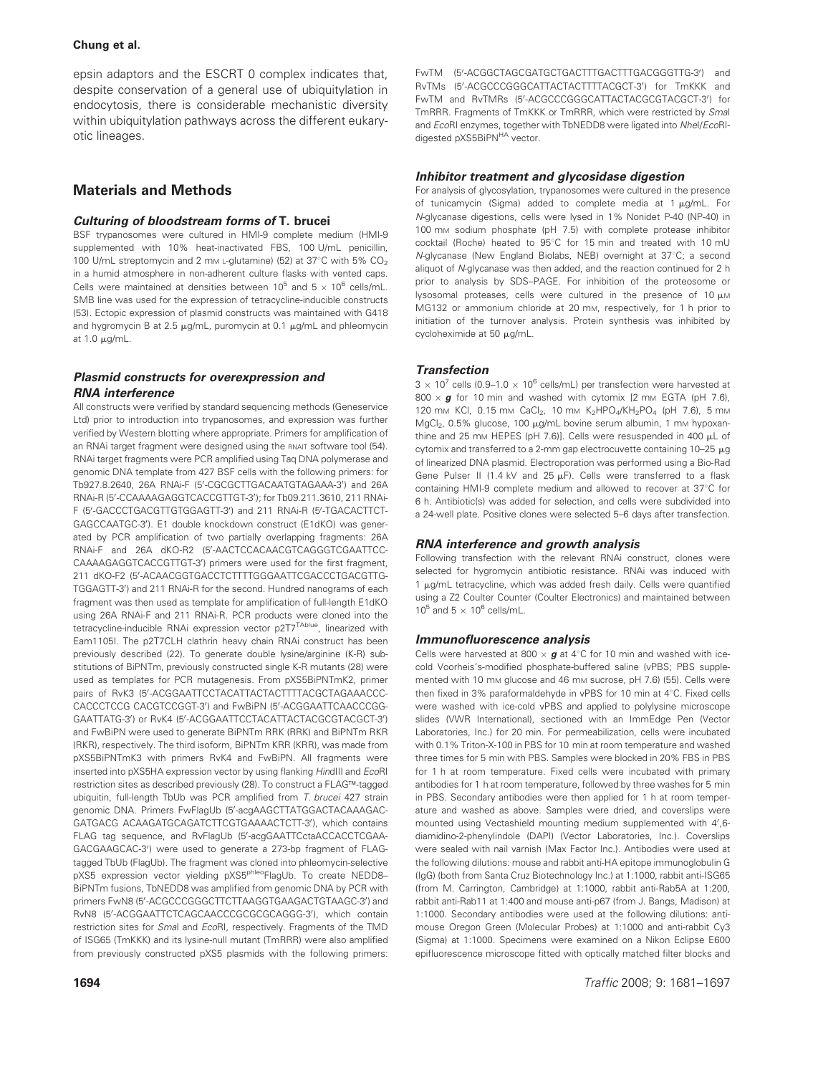epsin adaptors and the ESCRT 0 complex indicates that, despite conservation of a general use of ubiquitylation in endocytosis, there is considerable mechanistic diversity within ubiquitylation pathways across the different eukaryotic lineages.

# Materials and Methods

## Culturing of bloodstream forms of T. brucei

BSF trypanosomes were cultured in HMI-9 complete medium (HMI-9 supplemented with 10% heat-inactivated FBS, 100 U/mL penicillin, 100 U/mL streptomycin and 2 mm L-glutamine) (52) at 37°C with 5%  $CO<sub>2</sub>$ in a humid atmosphere in non-adherent culture flasks with vented caps. Cells were maintained at densities between  $10^5$  and  $5 \times 10^6$  cells/mL. SMB line was used for the expression of tetracycline-inducible constructs (53). Ectopic expression of plasmid constructs was maintained with G418 and hygromycin B at 2.5  $\mu$ g/mL, puromycin at 0.1  $\mu$ g/mL and phleomycin at  $1.0 \mu g/mL$ .

## Plasmid constructs for overexpression and RNA interference

All constructs were verified by standard sequencing methods (Geneservice Ltd) prior to introduction into trypanosomes, and expression was further verified by Western blotting where appropriate. Primers for amplification of an RNAi target fragment were designed using the RNAIT software tool (54). RNAi target fragments were PCR amplified using Taq DNA polymerase and genomic DNA template from 427 BSF cells with the following primers: for Tb927.8.2640, 26A RNAi-F (5'-CGCGCTTGACAATGTAGAAA-3') and 26A RNAi-R (5'-CCAAAAGAGGTCACCGTTGT-3'); for Tb09.211.3610, 211 RNAi-F (5'-GACCCTGACGTTGTGGAGTT-3') and 211 RNAi-R (5'-TGACACTTCT-GAGCCAATGC-3'). E1 double knockdown construct (E1dKO) was generated by PCR amplification of two partially overlapping fragments: 26A RNAi-F and 26A dKO-R2 (5'-AACTCCACAACGTCAGGGTCGAATTCC-CAAAAGAGGTCACCGTTGT-3') primers were used for the first fragment, 211 dKO-F2 (5'-ACAACGGTGACCTCTTTTGGGAATTCGACCCTGACGTTG-TGGAGTT-3') and 211 RNAi-R for the second. Hundred nanograms of each fragment was then used as template for amplification of full-length E1dKO using 26A RNAi-F and 211 RNAi-R. PCR products were cloned into the tetracycline-inducible RNAi expression vector p2T7<sup>TAblue</sup>, linearized with Eam1105I. The p2T7CLH clathrin heavy chain RNAi construct has been previously described (22). To generate double lysine/arginine (K-R) substitutions of BiPNTm, previously constructed single K-R mutants (28) were used as templates for PCR mutagenesis. From pXS5BiPNTmK2, primer pairs of RvK3 (5'-ACGGAATTCCTACATTACTACTTTTACGCTAGAAACCC-CACCCTCCG CACGTCCGGT-3') and FwBiPN (5'-ACGGAATTCAACCCGG-GAATTATG-3') or RvK4 (5'-ACGGAATTCCTACATTACTACGCGTACGCT-3') and FwBiPN were used to generate BiPNTm RRK (RRK) and BiPNTm RKR (RKR), respectively. The third isoform, BiPNTm KRR (KRR), was made from pXS5BiPNTmK3 with primers RvK4 and FwBiPN. All fragments were inserted into pXS5HA expression vector by using flanking HindIII and EcoRI restriction sites as described previously (28). To construct a FLAG™-tagged ubiquitin, full-length TbUb was PCR amplified from T. brucei 427 strain genomic DNA. Primers FwFlagUb (5'-acgAAGCTTATGGACTACAAAGAC-GATGACG ACAAGATGCAGATCTTCGTGAAAACTCTT-3'), which contains FLAG tag sequence, and RvFlagUb (5'-acgGAATTCctaACCACCTCGAA-GACGAAGCAC-3') were used to generate a 273-bp fragment of FLAGtagged TbUb (FlagUb). The fragment was cloned into phleomycin-selective pXS5 expression vector yielding pXS5<sup>phleo</sup>FlagUb. To create NEDD8-BiPNTm fusions, TbNEDD8 was amplified from genomic DNA by PCR with primers FwN8 (5'-ACGCCCGGGCTTCTTAAGGTGAAGACTGTAAGC-3') and RvN8 (5'-ACGGAATTCTCAGCAACCCGCGCGCAGGG-3'), which contain restriction sites for Smal and EcoRI, respectively. Fragments of the TMD of ISG65 (TmKKK) and its lysine-null mutant (TmRRR) were also amplified from previously constructed pXS5 plasmids with the following primers:

## Inhibitor treatment and glycosidase digestion

For analysis of glycosylation, trypanosomes were cultured in the presence of tunicamycin (Sigma) added to complete media at  $1 \mu g/mL$ . For N-glycanase digestions, cells were lysed in 1% Nonidet P-40 (NP-40) in 100 mm sodium phosphate (pH 7.5) with complete protease inhibitor cocktail (Roche) heated to 95°C for 15 min and treated with 10 mU N-glycanase (New England Biolabs, NEB) overnight at 37°C; a second aliquot of N-glycanase was then added, and the reaction continued for 2 h prior to analysis by SDS–PAGE. For inhibition of the proteosome or lysosomal proteases, cells were cultured in the presence of  $10 \mu$ M MG132 or ammonium chloride at 20 mM, respectively, for 1 h prior to initiation of the turnover analysis. Protein synthesis was inhibited by cycloheximide at 50 µg/mL.

## **Transfection**

 $3 \times 10^7$  cells (0.9–1.0  $\times$  10<sup>6</sup> cells/mL) per transfection were harvested at 800  $\times$  g for 10 min and washed with cytomix [2 mm EGTA (pH 7.6), 120 mm KCl, 0.15 mm CaCl<sub>2</sub>, 10 mm K<sub>2</sub>HPO<sub>4</sub>/KH<sub>2</sub>PO<sub>4</sub> (pH 7.6), 5 mm MgCl<sub>2</sub>, 0.5% glucose, 100 ug/mL bovine serum albumin, 1 mm hypoxanthine and 25 mm HEPES (pH 7.6)]. Cells were resuspended in 400  $\mu$ L of cytomix and transferred to a 2-mm gap electrocuvette containing  $10-25 \mu g$ of linearized DNA plasmid. Electroporation was performed using a Bio-Rad Gene Pulser II (1.4 kV and 25  $\mu$ F). Cells were transferred to a flask containing HMI-9 complete medium and allowed to recover at 37°C for 6 h. Antibiotic(s) was added for selection, and cells were subdivided into a 24-well plate. Positive clones were selected 5–6 days after transfection.

## RNA interference and growth analysis

Following transfection with the relevant RNAi construct, clones were selected for hygromycin antibiotic resistance. RNAi was induced with  $1 \mu$ g/mL tetracycline, which was added fresh daily. Cells were quantified using a Z2 Coulter Counter (Coulter Electronics) and maintained between  $10^5$  and  $5 \times 10^6$  cells/mL.

## Immunofluorescence analysis

Cells were harvested at 800  $\times$  g at 4°C for 10 min and washed with icecold Voorheis's-modified phosphate-buffered saline (vPBS; PBS supplemented with 10 mm glucose and 46 mm sucrose, pH 7.6) (55). Cells were then fixed in 3% paraformaldehyde in vPBS for 10 min at 4°C. Fixed cells were washed with ice-cold vPBS and applied to polylysine microscope slides (VWR International), sectioned with an ImmEdge Pen (Vector Laboratories, Inc.) for 20 min. For permeabilization, cells were incubated with 0.1% Triton-X-100 in PBS for 10 min at room temperature and washed three times for 5 min with PBS. Samples were blocked in 20% FBS in PBS for 1 h at room temperature. Fixed cells were incubated with primary antibodies for 1 h at room temperature, followed by three washes for 5 min in PBS. Secondary antibodies were then applied for 1 h at room temperature and washed as above. Samples were dried, and coverslips were mounted using Vectashield mounting medium supplemented with 4',6diamidino-2-phenylindole (DAPI) (Vector Laboratories, Inc.). Coverslips were sealed with nail varnish (Max Factor Inc.). Antibodies were used at the following dilutions: mouse and rabbit anti-HA epitope immunoglobulin G (IgG) (both from Santa Cruz Biotechnology Inc.) at 1:1000, rabbit anti-ISG65 (from M. Carrington, Cambridge) at 1:1000, rabbit anti-Rab5A at 1:200, rabbit anti-Rab11 at 1:400 and mouse anti-p67 (from J. Bangs, Madison) at 1:1000. Secondary antibodies were used at the following dilutions: antimouse Oregon Green (Molecular Probes) at 1:1000 and anti-rabbit Cy3 (Sigma) at 1:1000. Specimens were examined on a Nikon Eclipse E600 epifluorescence microscope fitted with optically matched filter blocks and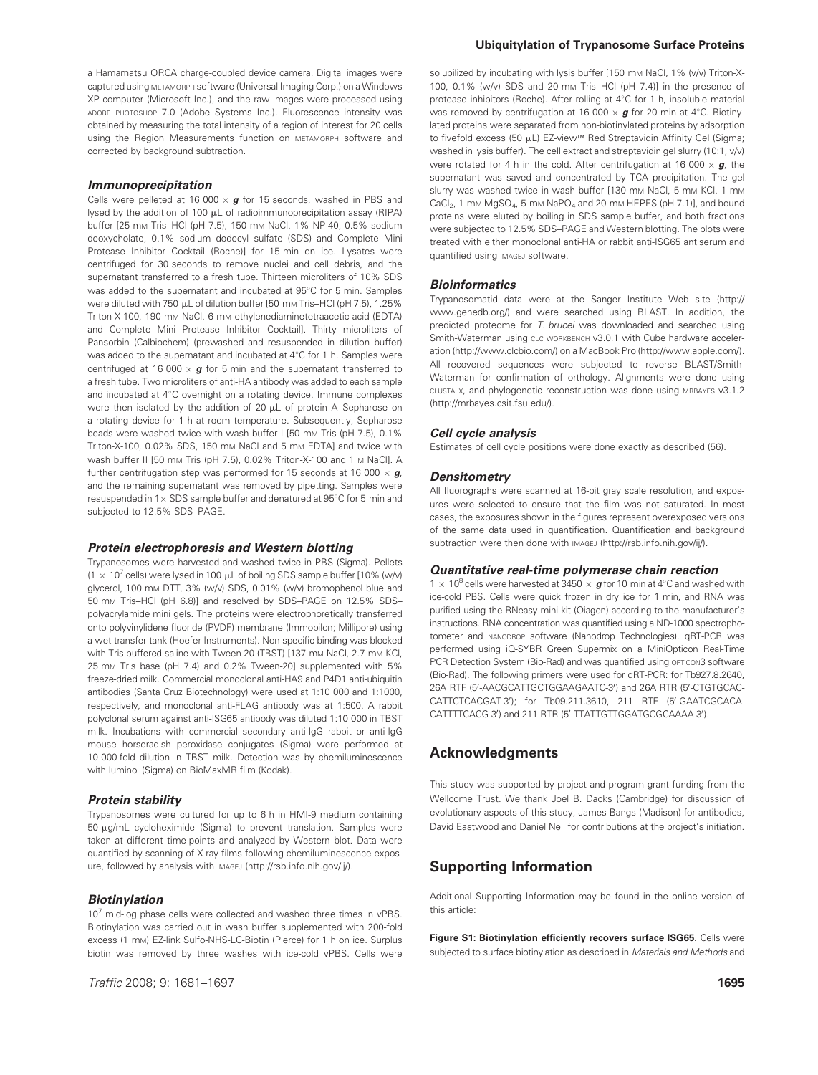a Hamamatsu ORCA charge-coupled device camera. Digital images were captured using METAMORPH software (Universal Imaging Corp.) on a Windows XP computer (Microsoft Inc.), and the raw images were processed using ADOBE PHOTOSHOP 7.0 (Adobe Systems Inc.). Fluorescence intensity was obtained by measuring the total intensity of a region of interest for 20 cells using the Region Measurements function on METAMORPH software and corrected by background subtraction.

## Immunoprecipitation

Cells were pelleted at 16 000  $\times$  g for 15 seconds, washed in PBS and lysed by the addition of 100  $\mu$ L of radioimmunoprecipitation assay (RIPA) buffer [25 mm Tris-HCl (pH 7.5), 150 mm NaCl, 1% NP-40, 0.5% sodium deoxycholate, 0.1% sodium dodecyl sulfate (SDS) and Complete Mini Protease Inhibitor Cocktail (Roche)] for 15 min on ice. Lysates were centrifuged for 30 seconds to remove nuclei and cell debris, and the supernatant transferred to a fresh tube. Thirteen microliters of 10% SDS was added to the supernatant and incubated at 95°C for 5 min. Samples were diluted with 750 µL of dilution buffer [50 mm Tris-HCl (pH 7.5), 1.25% Triton-X-100, 190 mm NaCl, 6 mm ethylenediaminetetraacetic acid (EDTA) and Complete Mini Protease Inhibitor Cocktail]. Thirty microliters of Pansorbin (Calbiochem) (prewashed and resuspended in dilution buffer) was added to the supernatant and incubated at  $4^{\circ}$ C for 1 h. Samples were centrifuged at 16 000  $\times$  g for 5 min and the supernatant transferred to a fresh tube. Two microliters of anti-HA antibody was added to each sample and incubated at 4°C overnight on a rotating device. Immune complexes were then isolated by the addition of 20  $\mu$ L of protein A-Sepharose on a rotating device for 1 h at room temperature. Subsequently, Sepharose beads were washed twice with wash buffer I [50 mm Tris (pH 7.5), 0.1% Triton-X-100, 0.02% SDS, 150 mm NaCl and 5 mm EDTA] and twice with Wash buffer II [50 mm Tris (pH 7.5), 0.02% Triton-X-100 and 1 m NaCl]. A further centrifugation step was performed for 15 seconds at 16 000  $\times$  g, and the remaining supernatant was removed by pipetting. Samples were resuspended in  $1 \times$  SDS sample buffer and denatured at 95 $^{\circ}$ C for 5 min and subjected to 12.5% SDS–PAGE.

## Protein electrophoresis and Western blotting

Trypanosomes were harvested and washed twice in PBS (Sigma). Pellets (1  $\times$  10<sup>7</sup> cells) were lysed in 100  $\mu$ L of boiling SDS sample buffer [10% (w/v) glycerol, 100 mm DTT, 3% (w/v) SDS, 0.01% (w/v) bromophenol blue and 50 mM Tris–HCl (pH 6.8)] and resolved by SDS–PAGE on 12.5% SDS– polyacrylamide mini gels. The proteins were electrophoretically transferred onto polyvinylidene fluoride (PVDF) membrane (Immobilon; Millipore) using a wet transfer tank (Hoefer Instruments). Non-specific binding was blocked with Tris-buffered saline with Tween-20 (TBST) [137 mm NaCl, 2.7 mm KCl, 25 mM Tris base (pH 7.4) and 0.2% Tween-20] supplemented with 5% freeze-dried milk. Commercial monoclonal anti-HA9 and P4D1 anti-ubiquitin antibodies (Santa Cruz Biotechnology) were used at 1:10 000 and 1:1000, respectively, and monoclonal anti-FLAG antibody was at 1:500. A rabbit polyclonal serum against anti-ISG65 antibody was diluted 1:10 000 in TBST milk. Incubations with commercial secondary anti-IgG rabbit or anti-IgG mouse horseradish peroxidase conjugates (Sigma) were performed at 10 000-fold dilution in TBST milk. Detection was by chemiluminescence with luminol (Sigma) on BioMaxMR film (Kodak).

#### Protein stability

Trypanosomes were cultured for up to 6 h in HMI-9 medium containing  $50 \mu g/mL$  cycloheximide (Sigma) to prevent translation. Samples were taken at different time-points and analyzed by Western blot. Data were quantified by scanning of X-ray films following chemiluminescence exposure, followed by analysis with IMAGEJ (http://rsb.info.nih.gov/ij/).

#### Biotinylation

 $10<sup>7</sup>$  mid-log phase cells were collected and washed three times in vPBS. Biotinylation was carried out in wash buffer supplemented with 200-fold excess (1 mm) EZ-link Sulfo-NHS-LC-Biotin (Pierce) for 1 h on ice. Surplus biotin was removed by three washes with ice-cold vPBS. Cells were

#### Ubiquitylation of Trypanosome Surface Proteins

solubilized by incubating with lysis buffer [150 mm NaCl, 1% (v/v) Triton-X-100, 0.1% (w/v) SDS and 20 mM Tris–HCl (pH 7.4)] in the presence of protease inhibitors (Roche). After rolling at 4°C for 1 h, insoluble material was removed by centrifugation at 16 000  $\times$  g for 20 min at 4°C. Biotinylated proteins were separated from non-biotinylated proteins by adsorption to fivefold excess (50 µL) EZ-view<sup>™</sup> Red Streptavidin Affinity Gel (Sigma; washed in lysis buffer). The cell extract and streptavidin gel slurry (10:1, v/v) were rotated for 4 h in the cold. After centrifugation at 16 000  $\times$  g, the supernatant was saved and concentrated by TCA precipitation. The gel slurry was washed twice in wash buffer [130 mm NaCl, 5 mm KCl, 1 mm  $CaCl<sub>2</sub>$ , 1 mm MgSO<sub>4</sub>, 5 mm NaPO<sub>4</sub> and 20 mm HEPES (pH 7.1)], and bound proteins were eluted by boiling in SDS sample buffer, and both fractions were subjected to 12.5% SDS–PAGE and Western blotting. The blots were treated with either monoclonal anti-HA or rabbit anti-ISG65 antiserum and quantified using IMAGEJ software.

### **Bioinformatics**

Trypanosomatid data were at the Sanger Institute Web site (http:// www.genedb.org/) and were searched using BLAST. In addition, the predicted proteome for T. brucei was downloaded and searched using Smith-Waterman using CLC WORKBENCH v3.0.1 with Cube hardware acceleration (http://www.clcbio.com/) on a MacBook Pro (http://www.apple.com/). All recovered sequences were subjected to reverse BLAST/Smith-Waterman for confirmation of orthology. Alignments were done using CLUSTALX, and phylogenetic reconstruction was done using MRBAYES v3.1.2 (http://mrbayes.csit.fsu.edu/).

### Cell cycle analysis

Estimates of cell cycle positions were done exactly as described (56).

### **Densitometry**

All fluorographs were scanned at 16-bit gray scale resolution, and exposures were selected to ensure that the film was not saturated. In most cases, the exposures shown in the figures represent overexposed versions of the same data used in quantification. Quantification and background subtraction were then done with IMAGEJ (http://rsb.info.nih.gov/ij/).

#### Quantitative real-time polymerase chain reaction

 $1 \times 10^8$  cells were harvested at 3450  $\times$  g for 10 min at 4°C and washed with ice-cold PBS. Cells were quick frozen in dry ice for 1 min, and RNA was purified using the RNeasy mini kit (Qiagen) according to the manufacturer's instructions. RNA concentration was quantified using a ND-1000 spectrophotometer and NANODROP software (Nanodrop Technologies). qRT-PCR was performed using iQ-SYBR Green Supermix on a MiniOpticon Real-Time PCR Detection System (Bio-Rad) and was quantified using opticon3 software (Bio-Rad). The following primers were used for qRT-PCR: for Tb927.8.2640, 26A RTF (5'-AACGCATTGCTGGAAGAATC-3') and 26A RTR (5'-CTGTGCAC-CATTCTCACGAT-3'); for Tb09.211.3610, 211 RTF (5'-GAATCGCACA-CATTTTCACG-3') and 211 RTR (5'-TTATTGTTGGATGCGCAAAA-3').

# Acknowledgments

This study was supported by project and program grant funding from the Wellcome Trust. We thank Joel B. Dacks (Cambridge) for discussion of evolutionary aspects of this study, James Bangs (Madison) for antibodies, David Eastwood and Daniel Neil for contributions at the project's initiation.

# Supporting Information

Additional Supporting Information may be found in the online version of this article:

Figure S1: Biotinylation efficiently recovers surface ISG65. Cells were subjected to surface biotinylation as described in Materials and Methods and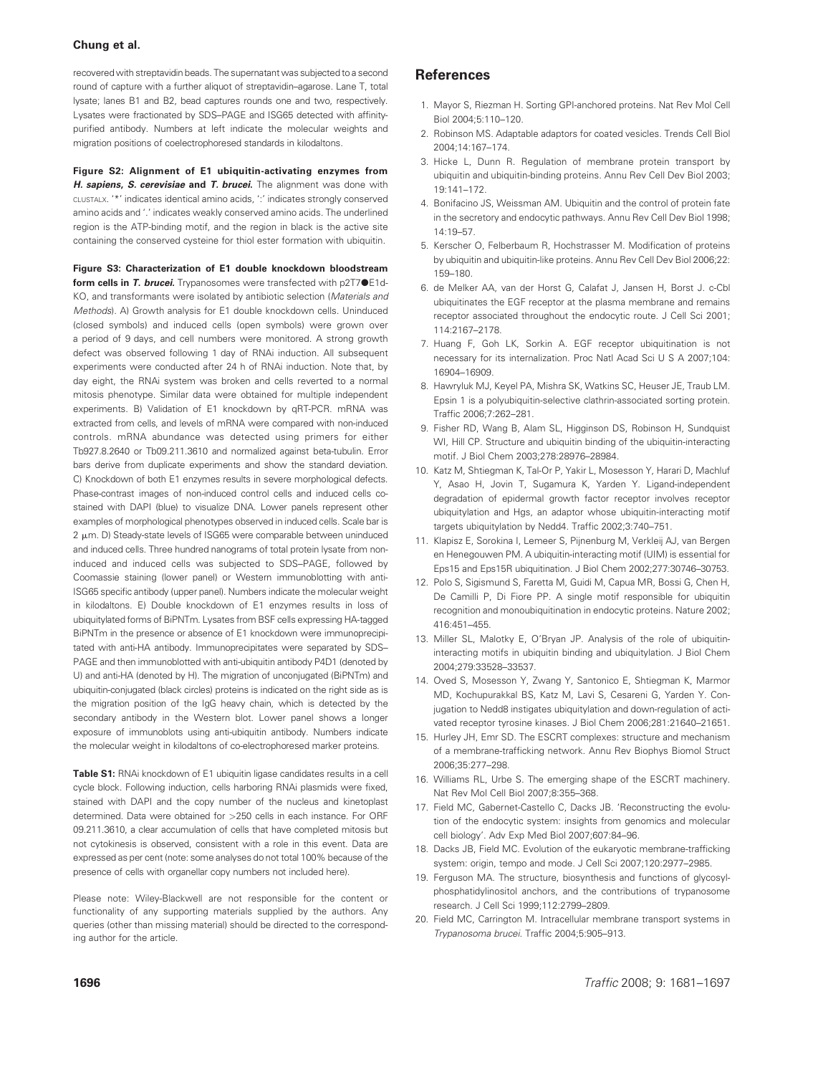recovered with streptavidin beads. The supernatant was subjected to a second round of capture with a further aliquot of streptavidin–agarose. Lane T, total lysate; lanes B1 and B2, bead captures rounds one and two, respectively. Lysates were fractionated by SDS–PAGE and ISG65 detected with affinitypurified antibody. Numbers at left indicate the molecular weights and migration positions of coelectrophoresed standards in kilodaltons.

Figure S2: Alignment of E1 ubiquitin-activating enzymes from H. sapiens, S. cerevisiae and T. brucei. The alignment was done with CLUSTALX. '\*' indicates identical amino acids, ':' indicates strongly conserved amino acids and '.' indicates weakly conserved amino acids. The underlined region is the ATP-binding motif, and the region in black is the active site containing the conserved cysteine for thiol ester formation with ubiquitin.

Figure S3: Characterization of E1 double knockdown bloodstream form cells in T. brucei. Trypanosomes were transfected with p2T7<sup>OE1d-</sup> KO, and transformants were isolated by antibiotic selection (Materials and Methods). A) Growth analysis for E1 double knockdown cells. Uninduced (closed symbols) and induced cells (open symbols) were grown over a period of 9 days, and cell numbers were monitored. A strong growth defect was observed following 1 day of RNAi induction. All subsequent experiments were conducted after 24 h of RNAi induction. Note that, by day eight, the RNAi system was broken and cells reverted to a normal mitosis phenotype. Similar data were obtained for multiple independent experiments. B) Validation of E1 knockdown by qRT-PCR. mRNA was extracted from cells, and levels of mRNA were compared with non-induced controls. mRNA abundance was detected using primers for either Tb927.8.2640 or Tb09.211.3610 and normalized against beta-tubulin. Error bars derive from duplicate experiments and show the standard deviation. C) Knockdown of both E1 enzymes results in severe morphological defects. Phase-contrast images of non-induced control cells and induced cells costained with DAPI (blue) to visualize DNA. Lower panels represent other examples of morphological phenotypes observed in induced cells. Scale bar is 2  $\mu$ m. D) Steady-state levels of ISG65 were comparable between uninduced and induced cells. Three hundred nanograms of total protein lysate from noninduced and induced cells was subjected to SDS–PAGE, followed by Coomassie staining (lower panel) or Western immunoblotting with anti-ISG65 specific antibody (upper panel). Numbers indicate the molecular weight in kilodaltons. E) Double knockdown of E1 enzymes results in loss of ubiquitylated forms of BiPNTm. Lysates from BSF cells expressing HA-tagged BiPNTm in the presence or absence of E1 knockdown were immunoprecipitated with anti-HA antibody. Immunoprecipitates were separated by SDS– PAGE and then immunoblotted with anti-ubiquitin antibody P4D1 (denoted by U) and anti-HA (denoted by H). The migration of unconjugated (BiPNTm) and ubiquitin-conjugated (black circles) proteins is indicated on the right side as is the migration position of the IgG heavy chain, which is detected by the secondary antibody in the Western blot. Lower panel shows a longer exposure of immunoblots using anti-ubiquitin antibody. Numbers indicate the molecular weight in kilodaltons of co-electrophoresed marker proteins.

Table S1: RNAi knockdown of E1 ubiquitin ligase candidates results in a cell cycle block. Following induction, cells harboring RNAi plasmids were fixed, stained with DAPI and the copy number of the nucleus and kinetoplast determined. Data were obtained for >250 cells in each instance. For ORF 09.211.3610, a clear accumulation of cells that have completed mitosis but not cytokinesis is observed, consistent with a role in this event. Data are expressed as per cent (note: some analyses do not total 100% because of the presence of cells with organellar copy numbers not included here).

Please note: Wiley-Blackwell are not responsible for the content or functionality of any supporting materials supplied by the authors. Any queries (other than missing material) should be directed to the corresponding author for the article.

## References

- 1. Mayor S, Riezman H. Sorting GPI-anchored proteins. Nat Rev Mol Cell Biol 2004;5:110–120.
- 2. Robinson MS. Adaptable adaptors for coated vesicles. Trends Cell Biol 2004;14:167–174.
- 3. Hicke L, Dunn R. Regulation of membrane protein transport by ubiquitin and ubiquitin-binding proteins. Annu Rev Cell Dev Biol 2003; 19:141–172.
- 4. Bonifacino JS, Weissman AM. Ubiquitin and the control of protein fate in the secretory and endocytic pathways. Annu Rev Cell Dev Biol 1998; 14:19–57.
- 5. Kerscher O, Felberbaum R, Hochstrasser M. Modification of proteins by ubiquitin and ubiquitin-like proteins. Annu Rev Cell Dev Biol 2006;22: 159–180.
- 6. de Melker AA, van der Horst G, Calafat J, Jansen H, Borst J. c-Cbl ubiquitinates the EGF receptor at the plasma membrane and remains receptor associated throughout the endocytic route. J Cell Sci 2001; 114:2167–2178.
- 7. Huang F, Goh LK, Sorkin A. EGF receptor ubiquitination is not necessary for its internalization. Proc Natl Acad Sci U S A 2007;104: 16904–16909.
- 8. Hawryluk MJ, Keyel PA, Mishra SK, Watkins SC, Heuser JE, Traub LM. Epsin 1 is a polyubiquitin-selective clathrin-associated sorting protein. Traffic 2006;7:262–281.
- 9. Fisher RD, Wang B, Alam SL, Higginson DS, Robinson H, Sundquist WI, Hill CP. Structure and ubiquitin binding of the ubiquitin-interacting motif. J Biol Chem 2003;278:28976–28984.
- 10. Katz M, Shtiegman K, Tal-Or P, Yakir L, Mosesson Y, Harari D, Machluf Y, Asao H, Jovin T, Sugamura K, Yarden Y. Ligand-independent degradation of epidermal growth factor receptor involves receptor ubiquitylation and Hgs, an adaptor whose ubiquitin-interacting motif targets ubiquitylation by Nedd4. Traffic 2002;3:740–751.
- 11. Klapisz E, Sorokina I, Lemeer S, Pijnenburg M, Verkleij AJ, van Bergen en Henegouwen PM. A ubiquitin-interacting motif (UIM) is essential for Eps15 and Eps15R ubiquitination. J Biol Chem 2002;277:30746–30753.
- 12. Polo S, Sigismund S, Faretta M, Guidi M, Capua MR, Bossi G, Chen H, De Camilli P, Di Fiore PP. A single motif responsible for ubiquitin recognition and monoubiquitination in endocytic proteins. Nature 2002; 416:451–455.
- 13. Miller SL, Malotky E, O'Bryan JP. Analysis of the role of ubiquitininteracting motifs in ubiquitin binding and ubiquitylation. J Biol Chem 2004;279:33528–33537.
- 14. Oved S, Mosesson Y, Zwang Y, Santonico E, Shtiegman K, Marmor MD, Kochupurakkal BS, Katz M, Lavi S, Cesareni G, Yarden Y. Conjugation to Nedd8 instigates ubiquitylation and down-regulation of activated receptor tyrosine kinases. J Biol Chem 2006;281:21640–21651.
- 15. Hurley JH, Emr SD. The ESCRT complexes: structure and mechanism of a membrane-trafficking network. Annu Rev Biophys Biomol Struct 2006;35:277–298.
- 16. Williams RL, Urbe S. The emerging shape of the ESCRT machinery. Nat Rev Mol Cell Biol 2007;8:355–368.
- 17. Field MC, Gabernet-Castello C, Dacks JB. 'Reconstructing the evolution of the endocytic system: insights from genomics and molecular cell biology'. Adv Exp Med Biol 2007;607:84–96.
- 18. Dacks JB, Field MC. Evolution of the eukaryotic membrane-trafficking system: origin, tempo and mode. J Cell Sci 2007;120:2977–2985.
- 19. Ferguson MA. The structure, biosynthesis and functions of glycosylphosphatidylinositol anchors, and the contributions of trypanosome research. J Cell Sci 1999;112:2799–2809.
- 20. Field MC, Carrington M. Intracellular membrane transport systems in Trypanosoma brucei. Traffic 2004;5:905–913.